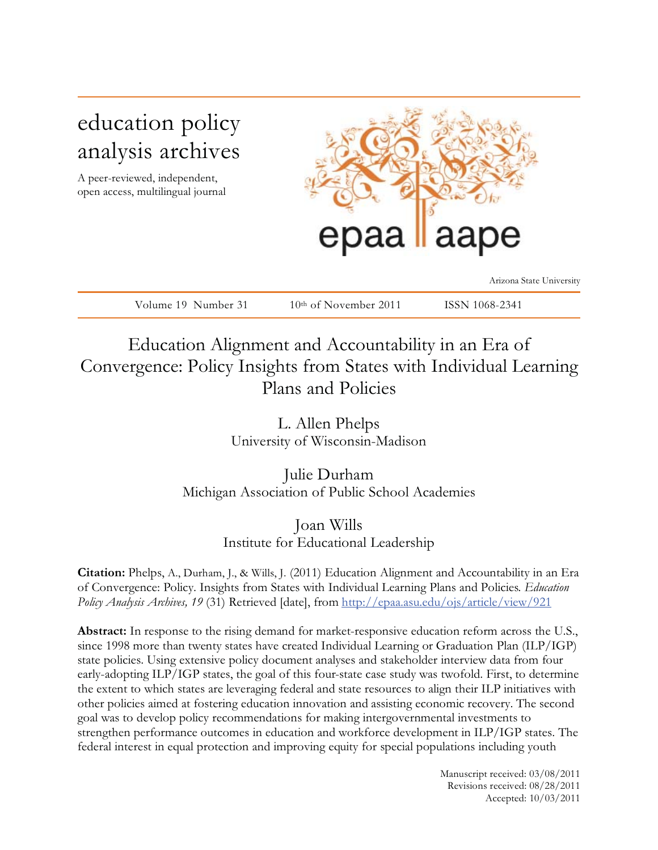# education policy analysis archives

A peer-reviewed, independent, open access, multilingual journal



Arizona State University

| Volume 19 Number 31 | $10th$ of November 2011 | ISSN 1068-2341 |
|---------------------|-------------------------|----------------|

## Education Alignment and Accountability in an Era of Convergence: Policy Insights from States with Individual Learning Plans and Policies

L. Allen Phelps University of Wisconsin-Madison

Julie Durham Michigan Association of Public School Academies

> Joan Wills Institute for Educational Leadership

**Citation:** Phelps, A., Durham, J., & Wills, J. (2011) Education Alignment and Accountability in an Era of Convergence: Policy. Insights from States with Individual Learning Plans and Policies*. Education Policy Analysis Archives, 19* (31) Retrieved [date], from http://epaa.asu.edu/ojs/article/view/921

**Abstract:** In response to the rising demand for market-responsive education reform across the U.S., since 1998 more than twenty states have created Individual Learning or Graduation Plan (ILP/IGP) state policies. Using extensive policy document analyses and stakeholder interview data from four early-adopting ILP/IGP states, the goal of this four-state case study was twofold. First, to determine the extent to which states are leveraging federal and state resources to align their ILP initiatives with other policies aimed at fostering education innovation and assisting economic recovery. The second goal was to develop policy recommendations for making intergovernmental investments to strengthen performance outcomes in education and workforce development in ILP/IGP states. The federal interest in equal protection and improving equity for special populations including youth

> Manuscript received: 03/08/2011 Revisions received: 08/28/2011 Accepted: 10/03/2011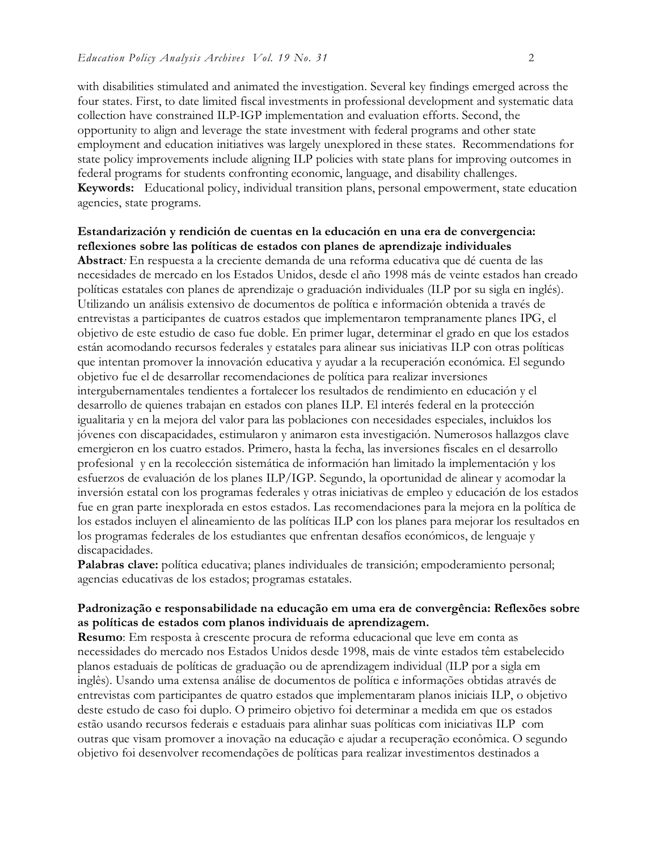with disabilities stimulated and animated the investigation. Several key findings emerged across the four states. First, to date limited fiscal investments in professional development and systematic data collection have constrained ILP-IGP implementation and evaluation efforts. Second, the opportunity to align and leverage the state investment with federal programs and other state employment and education initiatives was largely unexplored in these states. Recommendations for state policy improvements include aligning ILP policies with state plans for improving outcomes in federal programs for students confronting economic, language, and disability challenges. **Keywords:** Educational policy, individual transition plans, personal empowerment, state education agencies, state programs.

## **Estandarización y rendición de cuentas en la educación en una era de convergencia: reflexiones sobre las políticas de estados con planes de aprendizaje individuales**

**Abstract***:* En respuesta a la creciente demanda de una reforma educativa que dé cuenta de las necesidades de mercado en los Estados Unidos, desde el año 1998 más de veinte estados han creado políticas estatales con planes de aprendizaje o graduación individuales (ILP por su sigla en inglés). Utilizando un análisis extensivo de documentos de política e información obtenida a través de entrevistas a participantes de cuatros estados que implementaron tempranamente planes IPG, el objetivo de este estudio de caso fue doble. En primer lugar, determinar el grado en que los estados están acomodando recursos federales y estatales para alinear sus iniciativas ILP con otras políticas que intentan promover la innovación educativa y ayudar a la recuperación económica. El segundo objetivo fue el de desarrollar recomendaciones de política para realizar inversiones intergubernamentales tendientes a fortalecer los resultados de rendimiento en educación y el desarrollo de quienes trabajan en estados con planes ILP. El interés federal en la protección igualitaria y en la mejora del valor para las poblaciones con necesidades especiales, incluidos los jóvenes con discapacidades, estimularon y animaron esta investigación. Numerosos hallazgos clave emergieron en los cuatro estados. Primero, hasta la fecha, las inversiones fiscales en el desarrollo profesional y en la recolección sistemática de información han limitado la implementación y los esfuerzos de evaluación de los planes ILP/IGP. Segundo, la oportunidad de alinear y acomodar la inversión estatal con los programas federales y otras iniciativas de empleo y educación de los estados fue en gran parte inexplorada en estos estados. Las recomendaciones para la mejora en la política de los estados incluyen el alineamiento de las políticas ILP con los planes para mejorar los resultados en los programas federales de los estudiantes que enfrentan desafíos económicos, de lenguaje y discapacidades.

**Palabras clave:** política educativa; planes individuales de transición; empoderamiento personal; agencias educativas de los estados; programas estatales.

## **Padronização e responsabilidade na educação em uma era de convergência: Reflexões sobre as políticas de estados com planos individuais de aprendizagem.**

**Resumo**: Em resposta à crescente procura de reforma educacional que leve em conta as necessidades do mercado nos Estados Unidos desde 1998, mais de vinte estados têm estabelecido planos estaduais de políticas de graduação ou de aprendizagem individual (ILP por a sigla em inglês). Usando uma extensa análise de documentos de política e informações obtidas através de entrevistas com participantes de quatro estados que implementaram planos iniciais ILP, o objetivo deste estudo de caso foi duplo. O primeiro objetivo foi determinar a medida em que os estados estão usando recursos federais e estaduais para alinhar suas políticas com iniciativas ILP com outras que visam promover a inovação na educação e ajudar a recuperação econômica. O segundo objetivo foi desenvolver recomendações de políticas para realizar investimentos destinados a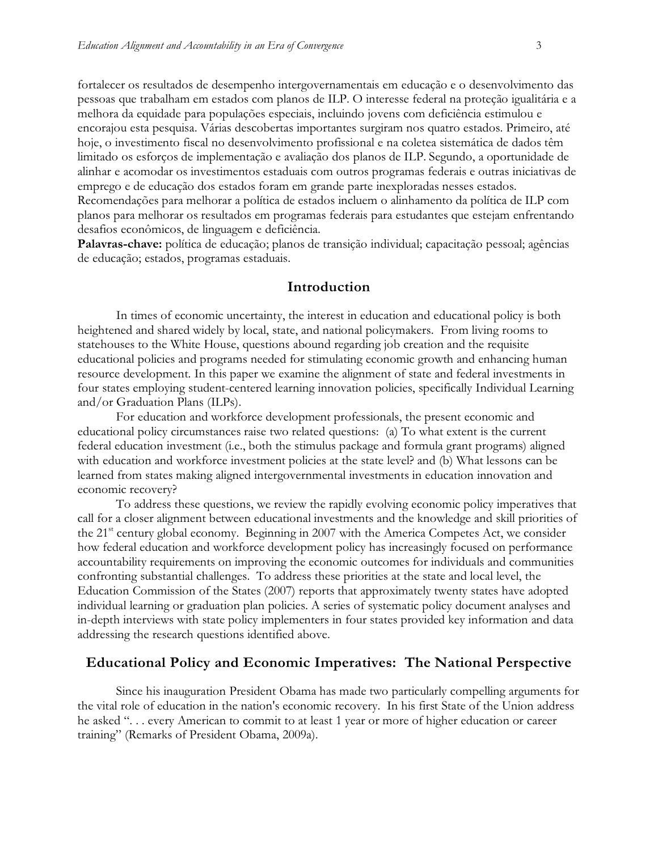fortalecer os resultados de desempenho intergovernamentais em educação e o desenvolvimento das pessoas que trabalham em estados com planos de ILP. O interesse federal na proteção igualitária e a melhora da equidade para populações especiais, incluindo jovens com deficiência estimulou e encorajou esta pesquisa. Várias descobertas importantes surgiram nos quatro estados. Primeiro, até hoje, o investimento fiscal no desenvolvimento profissional e na coletea sistemática de dados têm limitado os esforços de implementação e avaliação dos planos de ILP. Segundo, a oportunidade de alinhar e acomodar os investimentos estaduais com outros programas federais e outras iniciativas de emprego e de educação dos estados foram em grande parte inexploradas nesses estados. Recomendações para melhorar a política de estados incluem o alinhamento da política de ILP com planos para melhorar os resultados em programas federais para estudantes que estejam enfrentando desafios econômicos, de linguagem e deficiência.

**Palavras-chave:** política de educação; planos de transição individual; capacitação pessoal; agências de educação; estados, programas estaduais.

#### **Introduction**

In times of economic uncertainty, the interest in education and educational policy is both heightened and shared widely by local, state, and national policymakers. From living rooms to statehouses to the White House, questions abound regarding job creation and the requisite educational policies and programs needed for stimulating economic growth and enhancing human resource development. In this paper we examine the alignment of state and federal investments in four states employing student-centered learning innovation policies, specifically Individual Learning and/or Graduation Plans (ILPs).

For education and workforce development professionals, the present economic and educational policy circumstances raise two related questions: (a) To what extent is the current federal education investment (i.e., both the stimulus package and formula grant programs) aligned with education and workforce investment policies at the state level? and (b) What lessons can be learned from states making aligned intergovernmental investments in education innovation and economic recovery?

To address these questions, we review the rapidly evolving economic policy imperatives that call for a closer alignment between educational investments and the knowledge and skill priorities of the  $21<sup>st</sup>$  century global economy. Beginning in 2007 with the America Competes Act, we consider how federal education and workforce development policy has increasingly focused on performance accountability requirements on improving the economic outcomes for individuals and communities confronting substantial challenges. To address these priorities at the state and local level, the Education Commission of the States (2007) reports that approximately twenty states have adopted individual learning or graduation plan policies. A series of systematic policy document analyses and in-depth interviews with state policy implementers in four states provided key information and data addressing the research questions identified above.

### **Educational Policy and Economic Imperatives: The National Perspective**

Since his inauguration President Obama has made two particularly compelling arguments for the vital role of education in the nation's economic recovery. In his first State of the Union address he asked "... every American to commit to at least 1 year or more of higher education or career training" (Remarks of President Obama, 2009a).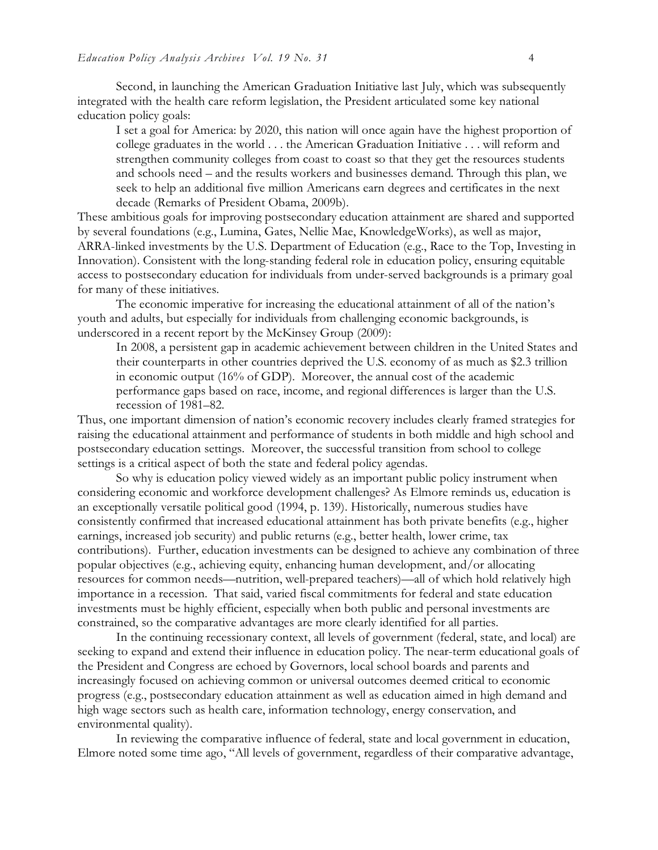Second, in launching the American Graduation Initiative last July, which was subsequently integrated with the health care reform legislation, the President articulated some key national education policy goals:

I set a goal for America: by 2020, this nation will once again have the highest proportion of college graduates in the world . . . the American Graduation Initiative . . . will reform and strengthen community colleges from coast to coast so that they get the resources students and schools need – and the results workers and businesses demand. Through this plan, we seek to help an additional five million Americans earn degrees and certificates in the next decade (Remarks of President Obama, 2009b).

These ambitious goals for improving postsecondary education attainment are shared and supported by several foundations (e.g., Lumina, Gates, Nellie Mae, KnowledgeWorks), as well as major, ARRA-linked investments by the U.S. Department of Education (e.g., Race to the Top, Investing in Innovation). Consistent with the long-standing federal role in education policy, ensuring equitable access to postsecondary education for individuals from under-served backgrounds is a primary goal for many of these initiatives.

The economic imperative for increasing the educational attainment of all of the nation's youth and adults, but especially for individuals from challenging economic backgrounds, is underscored in a recent report by the McKinsey Group (2009):

In 2008, a persistent gap in academic achievement between children in the United States and their counterparts in other countries deprived the U.S. economy of as much as \$2.3 trillion in economic output (16% of GDP). Moreover, the annual cost of the academic performance gaps based on race, income, and regional differences is larger than the U.S. recession of 1981–82.

Thus, one important dimension of nation's economic recovery includes clearly framed strategies for raising the educational attainment and performance of students in both middle and high school and postsecondary education settings. Moreover, the successful transition from school to college settings is a critical aspect of both the state and federal policy agendas.

So why is education policy viewed widely as an important public policy instrument when considering economic and workforce development challenges? As Elmore reminds us, education is an exceptionally versatile political good (1994, p. 139). Historically, numerous studies have consistently confirmed that increased educational attainment has both private benefits (e.g., higher earnings, increased job security) and public returns (e.g., better health, lower crime, tax contributions). Further, education investments can be designed to achieve any combination of three popular objectives (e.g., achieving equity, enhancing human development, and/or allocating resources for common needs—nutrition, well-prepared teachers)—all of which hold relatively high importance in a recession. That said, varied fiscal commitments for federal and state education investments must be highly efficient, especially when both public and personal investments are constrained, so the comparative advantages are more clearly identified for all parties.

In the continuing recessionary context, all levels of government (federal, state, and local) are seeking to expand and extend their influence in education policy. The near-term educational goals of the President and Congress are echoed by Governors, local school boards and parents and increasingly focused on achieving common or universal outcomes deemed critical to economic progress (e.g., postsecondary education attainment as well as education aimed in high demand and high wage sectors such as health care, information technology, energy conservation, and environmental quality).

In reviewing the comparative influence of federal, state and local government in education, Elmore noted some time ago, "All levels of government, regardless of their comparative advantage,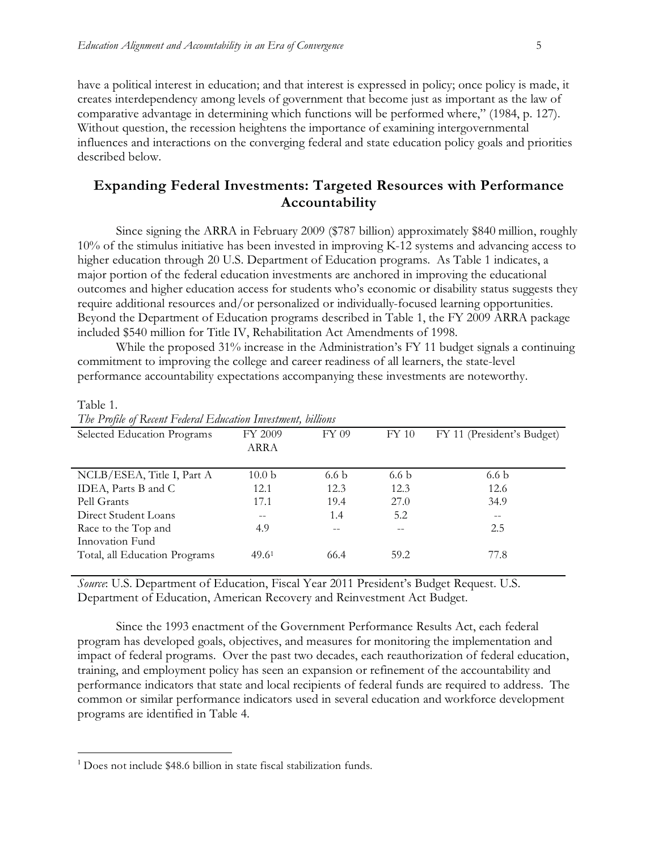have a political interest in education; and that interest is expressed in policy; once policy is made, it creates interdependency among levels of government that become just as important as the law of comparative advantage in determining which functions will be performed where," (1984, p. 127). Without question, the recession heightens the importance of examining intergovernmental influences and interactions on the converging federal and state education policy goals and priorities described below.

## **Expanding Federal Investments: Targeted Resources with Performance Accountability**

Since signing the ARRA in February 2009 (\$787 billion) approximately \$840 million, roughly 10% of the stimulus initiative has been invested in improving K-12 systems and advancing access to higher education through 20 U.S. Department of Education programs. As Table 1 indicates, a major portion of the federal education investments are anchored in improving the educational outcomes and higher education access for students who's economic or disability status suggests they require additional resources and/or personalized or individually-focused learning opportunities. Beyond the Department of Education programs described in Table 1, the FY 2009 ARRA package included \$540 million for Title IV, Rehabilitation Act Amendments of 1998.

While the proposed 31% increase in the Administration's FY 11 budget signals a continuing commitment to improving the college and career readiness of all learners, the state-level performance accountability expectations accompanying these investments are noteworthy.

| The Trophe of Ixelem I callul Lameanon Investment, buttons |                   |                  |                  |                            |
|------------------------------------------------------------|-------------------|------------------|------------------|----------------------------|
| Selected Education Programs                                | FY 2009           | FY 09            | FY 10            | FY 11 (President's Budget) |
|                                                            | ARRA              |                  |                  |                            |
|                                                            |                   |                  |                  |                            |
| NCLB/ESEA, Title I, Part A                                 | 10.0 <sub>b</sub> | 6.6 <sub>b</sub> | 6.6 <sub>b</sub> | 6.6 <sub>b</sub>           |
| IDEA, Parts B and C                                        | 12.1              | 12.3             | 12.3             | 12.6                       |
| Pell Grants                                                | 17.1              | 19.4             | 27.0             | 34.9                       |
| Direct Student Loans                                       | $- -$             | 1.4              | 5.2              | $-$                        |
| Race to the Top and                                        | 4.9               | --               |                  | 2.5                        |
| Innovation Fund                                            |                   |                  |                  |                            |
| Total, all Education Programs                              | 49.6 <sup>1</sup> | 66.4             | 59.2             | 77.8                       |
|                                                            |                   |                  |                  |                            |

Table 1.

 $\overline{a}$ 

*The Profile of Recent Federal Education Investment, billions* 

*Source*: U.S. Department of Education, Fiscal Year 2011 President's Budget Request. U.S. Department of Education, American Recovery and Reinvestment Act Budget.

Since the 1993 enactment of the Government Performance Results Act, each federal program has developed goals, objectives, and measures for monitoring the implementation and impact of federal programs. Over the past two decades, each reauthorization of federal education, training, and employment policy has seen an expansion or refinement of the accountability and performance indicators that state and local recipients of federal funds are required to address. The common or similar performance indicators used in several education and workforce development programs are identified in Table 4.

 $1$  Does not include \$48.6 billion in state fiscal stabilization funds.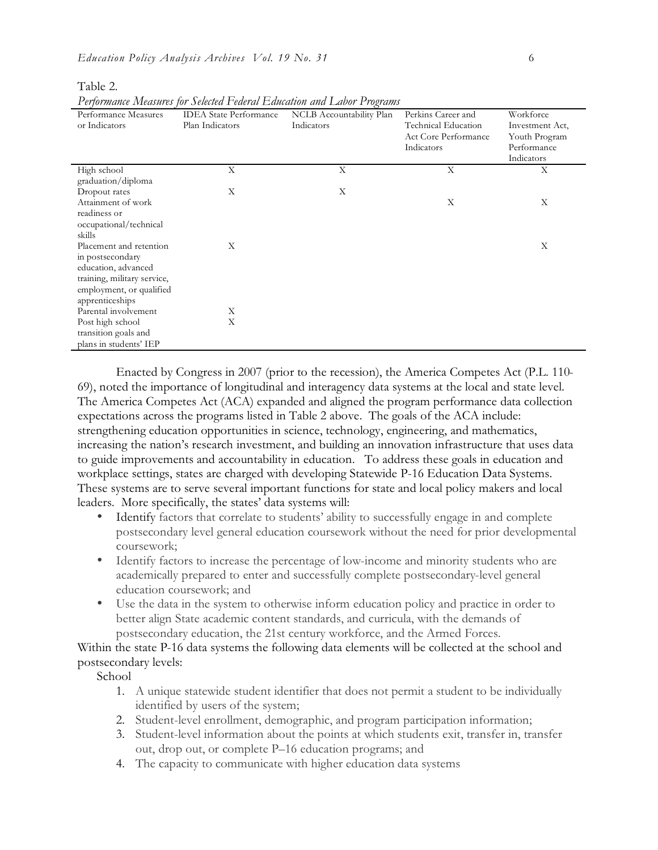|                                                                                                                                                  |                                                  | 1 chormanic incustives for Science 1 cucium Latitudin and Labor 1 rograms |                                                                                        |                                                                            |
|--------------------------------------------------------------------------------------------------------------------------------------------------|--------------------------------------------------|---------------------------------------------------------------------------|----------------------------------------------------------------------------------------|----------------------------------------------------------------------------|
| Performance Measures<br>or Indicators                                                                                                            | <b>IDEA</b> State Performance<br>Plan Indicators | NCLB Accountability Plan<br>Indicators                                    | Perkins Career and<br><b>Technical Education</b><br>Act Core Performance<br>Indicators | Workforce<br>Investment Act,<br>Youth Program<br>Performance<br>Indicators |
| High school                                                                                                                                      | X                                                | X                                                                         | X                                                                                      | X                                                                          |
| graduation/diploma<br>Dropout rates                                                                                                              | X                                                | X                                                                         |                                                                                        |                                                                            |
| Attainment of work<br>readiness or<br>occupational/technical<br>skills                                                                           |                                                  |                                                                           | X                                                                                      | X                                                                          |
| Placement and retention<br>in postsecondary<br>education, advanced<br>training, military service,<br>employment, or qualified<br>apprenticeships | X                                                |                                                                           |                                                                                        | X                                                                          |
| Parental involvement                                                                                                                             | Х                                                |                                                                           |                                                                                        |                                                                            |
| Post high school<br>transition goals and<br>plans in students' IEP                                                                               | X                                                |                                                                           |                                                                                        |                                                                            |

Table 2.

*Performance Measures for Selected Federal Education and Labor Programs* 

Enacted by Congress in 2007 (prior to the recession), the America Competes Act (P.L. 110- 69), noted the importance of longitudinal and interagency data systems at the local and state level. The America Competes Act (ACA) expanded and aligned the program performance data collection expectations across the programs listed in Table 2 above. The goals of the ACA include: strengthening education opportunities in science, technology, engineering, and mathematics, increasing the nation's research investment, and building an innovation infrastructure that uses data to guide improvements and accountability in education. To address these goals in education and workplace settings, states are charged with developing Statewide P-16 Education Data Systems. These systems are to serve several important functions for state and local policy makers and local leaders. More specifically, the states' data systems will:

- Identify factors that correlate to students' ability to successfully engage in and complete postsecondary level general education coursework without the need for prior developmental coursework;
- Identify factors to increase the percentage of low-income and minority students who are academically prepared to enter and successfully complete postsecondary-level general education coursework; and
- Use the data in the system to otherwise inform education policy and practice in order to better align State academic content standards, and curricula, with the demands of postsecondary education, the 21st century workforce, and the Armed Forces.

Within the state P-16 data systems the following data elements will be collected at the school and postsecondary levels:

School

- 1. A unique statewide student identifier that does not permit a student to be individually identified by users of the system;
- 2. Student-level enrollment, demographic, and program participation information;
- 3. Student-level information about the points at which students exit, transfer in, transfer out, drop out, or complete P–16 education programs; and
- 4. The capacity to communicate with higher education data systems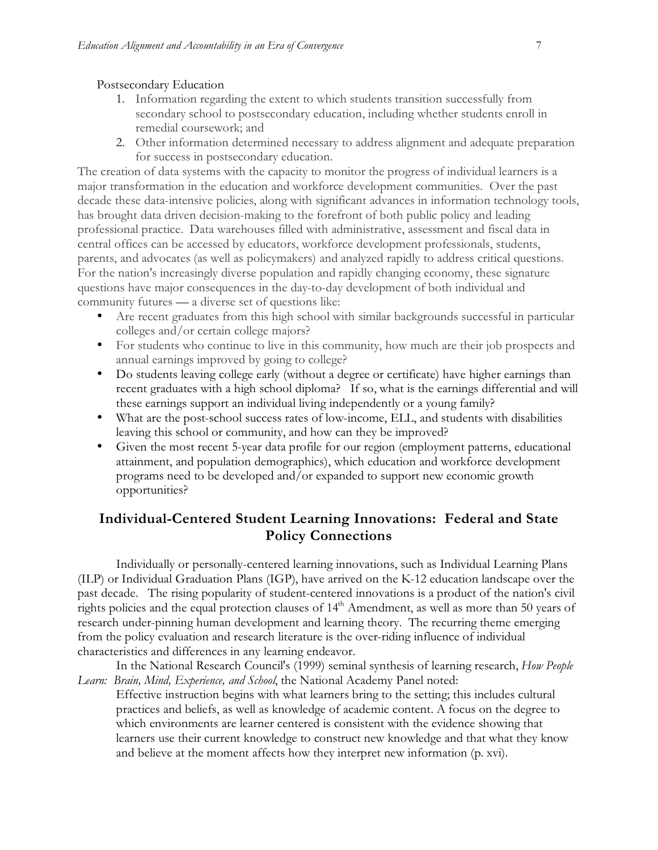#### Postsecondary Education

- 1. Information regarding the extent to which students transition successfully from secondary school to postsecondary education, including whether students enroll in remedial coursework; and
- 2. Other information determined necessary to address alignment and adequate preparation for success in postsecondary education.

The creation of data systems with the capacity to monitor the progress of individual learners is a major transformation in the education and workforce development communities. Over the past decade these data-intensive policies, along with significant advances in information technology tools, has brought data driven decision-making to the forefront of both public policy and leading professional practice. Data warehouses filled with administrative, assessment and fiscal data in central offices can be accessed by educators, workforce development professionals, students, parents, and advocates (as well as policymakers) and analyzed rapidly to address critical questions. For the nation's increasingly diverse population and rapidly changing economy, these signature questions have major consequences in the day-to-day development of both individual and community futures — a diverse set of questions like:

- Are recent graduates from this high school with similar backgrounds successful in particular colleges and/or certain college majors?
- For students who continue to live in this community, how much are their job prospects and annual earnings improved by going to college?
- Do students leaving college early (without a degree or certificate) have higher earnings than recent graduates with a high school diploma? If so, what is the earnings differential and will these earnings support an individual living independently or a young family?
- What are the post-school success rates of low-income, ELL, and students with disabilities leaving this school or community, and how can they be improved?
- Given the most recent 5-year data profile for our region (employment patterns, educational attainment, and population demographics), which education and workforce development programs need to be developed and/or expanded to support new economic growth opportunities?

## **Individual-Centered Student Learning Innovations: Federal and State Policy Connections**

Individually or personally-centered learning innovations, such as Individual Learning Plans (ILP) or Individual Graduation Plans (IGP), have arrived on the K-12 education landscape over the past decade. The rising popularity of student-centered innovations is a product of the nation's civil rights policies and the equal protection clauses of  $14<sup>th</sup>$  Amendment, as well as more than 50 years of research under-pinning human development and learning theory. The recurring theme emerging from the policy evaluation and research literature is the over-riding influence of individual characteristics and differences in any learning endeavor.

In the National Research Council's (1999) seminal synthesis of learning research, *How People Learn: Brain, Mind, Experience, and School*, the National Academy Panel noted:

Effective instruction begins with what learners bring to the setting; this includes cultural practices and beliefs, as well as knowledge of academic content. A focus on the degree to which environments are learner centered is consistent with the evidence showing that learners use their current knowledge to construct new knowledge and that what they know and believe at the moment affects how they interpret new information (p. xvi).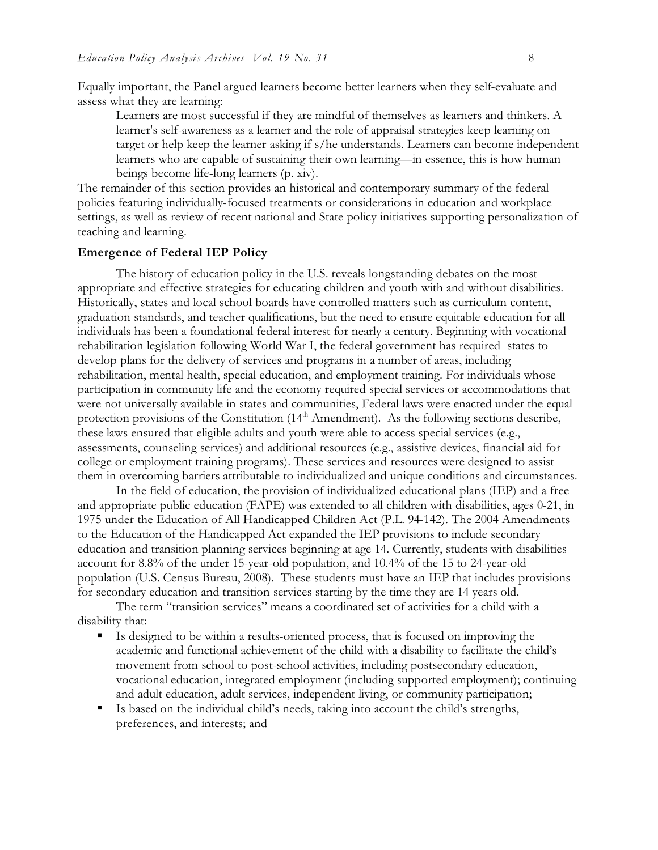Equally important, the Panel argued learners become better learners when they self-evaluate and assess what they are learning:

Learners are most successful if they are mindful of themselves as learners and thinkers. A learner's self-awareness as a learner and the role of appraisal strategies keep learning on target or help keep the learner asking if s/he understands. Learners can become independent learners who are capable of sustaining their own learning—in essence, this is how human beings become life-long learners (p. xiv).

The remainder of this section provides an historical and contemporary summary of the federal policies featuring individually-focused treatments or considerations in education and workplace settings, as well as review of recent national and State policy initiatives supporting personalization of teaching and learning.

#### **Emergence of Federal IEP Policy**

The history of education policy in the U.S. reveals longstanding debates on the most appropriate and effective strategies for educating children and youth with and without disabilities. Historically, states and local school boards have controlled matters such as curriculum content, graduation standards, and teacher qualifications, but the need to ensure equitable education for all individuals has been a foundational federal interest for nearly a century. Beginning with vocational rehabilitation legislation following World War I, the federal government has required states to develop plans for the delivery of services and programs in a number of areas, including rehabilitation, mental health, special education, and employment training. For individuals whose participation in community life and the economy required special services or accommodations that were not universally available in states and communities, Federal laws were enacted under the equal protection provisions of the Constitution  $(14<sup>th</sup> Amendment)$ . As the following sections describe, these laws ensured that eligible adults and youth were able to access special services (e.g., assessments, counseling services) and additional resources (e.g., assistive devices, financial aid for college or employment training programs). These services and resources were designed to assist them in overcoming barriers attributable to individualized and unique conditions and circumstances.

In the field of education, the provision of individualized educational plans (IEP) and a free and appropriate public education (FAPE) was extended to all children with disabilities, ages 0-21, in 1975 under the Education of All Handicapped Children Act (P.L. 94-142). The 2004 Amendments to the Education of the Handicapped Act expanded the IEP provisions to include secondary education and transition planning services beginning at age 14. Currently, students with disabilities account for 8.8% of the under 15-year-old population, and 10.4% of the 15 to 24-year-old population (U.S. Census Bureau, 2008). These students must have an IEP that includes provisions for secondary education and transition services starting by the time they are 14 years old.

 The term "transition services" means a coordinated set of activities for a child with a disability that:

- - Is designed to be within a results-oriented process, that is focused on improving the academic and functional achievement of the child with a disability to facilitate the child's movement from school to post-school activities, including postsecondary education, vocational education, integrated employment (including supported employment); continuing and adult education, adult services, independent living, or community participation;
- Is based on the individual child's needs, taking into account the child's strengths, preferences, and interests; and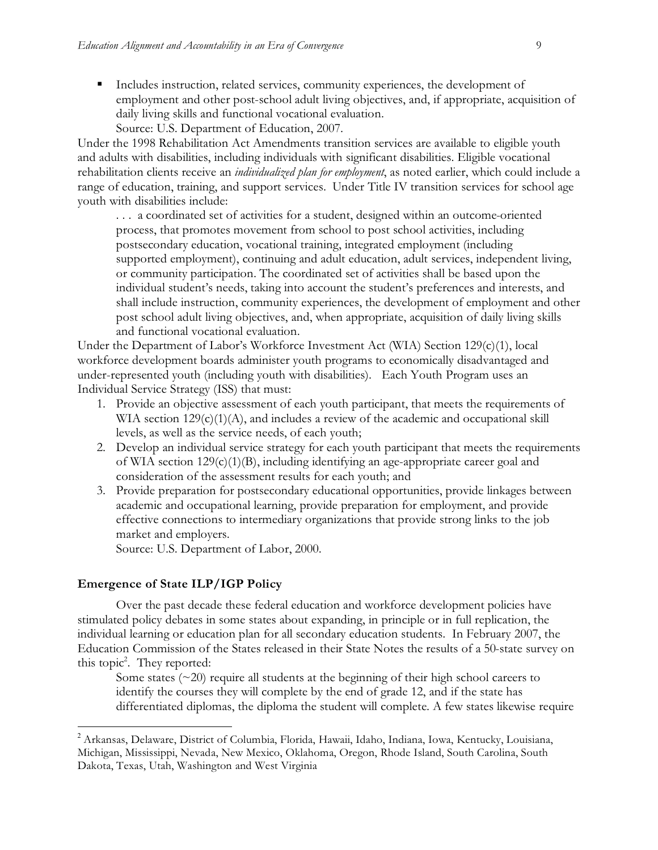- Includes instruction, related services, community experiences, the development of employment and other post-school adult living objectives, and, if appropriate, acquisition of daily living skills and functional vocational evaluation.

Source: U.S. Department of Education, 2007.

Under the 1998 Rehabilitation Act Amendments transition services are available to eligible youth and adults with disabilities, including individuals with significant disabilities. Eligible vocational rehabilitation clients receive an *individualized plan for employment*, as noted earlier, which could include a range of education, training, and support services. Under Title IV transition services for school age youth with disabilities include:

. . . a coordinated set of activities for a student, designed within an outcome-oriented process, that promotes movement from school to post school activities, including postsecondary education, vocational training, integrated employment (including supported employment), continuing and adult education, adult services, independent living, or community participation. The coordinated set of activities shall be based upon the individual student's needs, taking into account the student's preferences and interests, and shall include instruction, community experiences, the development of employment and other post school adult living objectives, and, when appropriate, acquisition of daily living skills and functional vocational evaluation.

Under the Department of Labor's Workforce Investment Act (WIA) Section 129(c)(1), local workforce development boards administer youth programs to economically disadvantaged and under-represented youth (including youth with disabilities). Each Youth Program uses an Individual Service Strategy (ISS) that must:

- 1. Provide an objective assessment of each youth participant, that meets the requirements of WIA section 129(c)(1)(A), and includes a review of the academic and occupational skill levels, as well as the service needs, of each youth;
- 2. Develop an individual service strategy for each youth participant that meets the requirements of WIA section 129(c)(1)(B), including identifying an age-appropriate career goal and consideration of the assessment results for each youth; and
- 3. Provide preparation for postsecondary educational opportunities, provide linkages between academic and occupational learning, provide preparation for employment, and provide effective connections to intermediary organizations that provide strong links to the job market and employers.

Source: U.S. Department of Labor, 2000.

### **Emergence of State ILP/IGP Policy**

 $\overline{a}$ 

Over the past decade these federal education and workforce development policies have stimulated policy debates in some states about expanding, in principle or in full replication, the individual learning or education plan for all secondary education students. In February 2007, the Education Commission of the States released in their State Notes the results of a 50-state survey on this topic<sup>2</sup>. They reported:

Some states  $(\sim 20)$  require all students at the beginning of their high school careers to identify the courses they will complete by the end of grade 12, and if the state has differentiated diplomas, the diploma the student will complete. A few states likewise require

 $^2$  Arkansas, Delaware, District of Columbia, Florida, Hawaii, Idaho, Indiana, Iowa, Kentucky, Louisiana, Michigan, Mississippi, Nevada, New Mexico, Oklahoma, Oregon, Rhode Island, South Carolina, South Dakota, Texas, Utah, Washington and West Virginia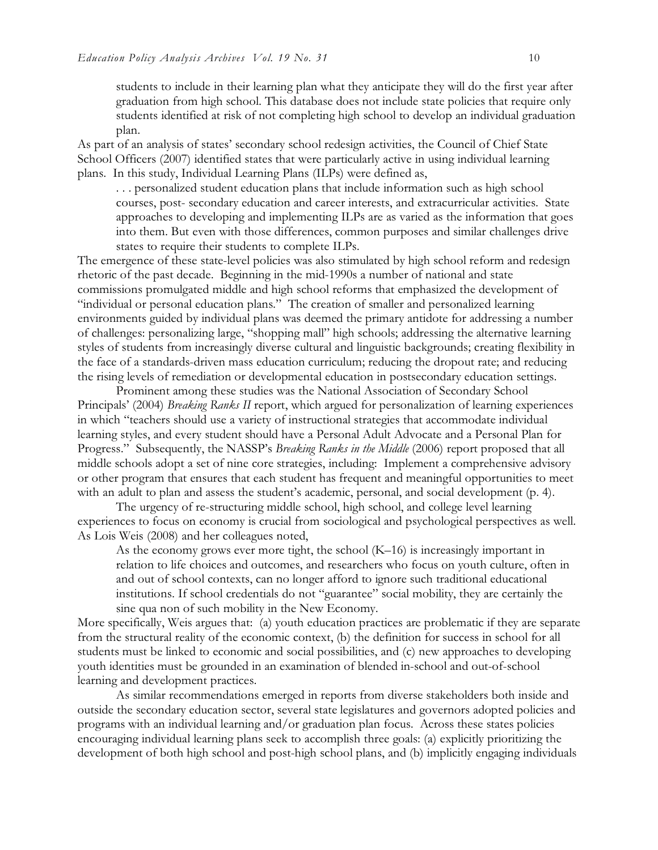students to include in their learning plan what they anticipate they will do the first year after graduation from high school. This database does not include state policies that require only students identified at risk of not completing high school to develop an individual graduation plan.

As part of an analysis of states' secondary school redesign activities, the Council of Chief State School Officers (2007) identified states that were particularly active in using individual learning plans. In this study, Individual Learning Plans (ILPs) were defined as,

. . . personalized student education plans that include information such as high school courses, post- secondary education and career interests, and extracurricular activities. State approaches to developing and implementing ILPs are as varied as the information that goes into them. But even with those differences, common purposes and similar challenges drive states to require their students to complete ILPs.

The emergence of these state-level policies was also stimulated by high school reform and redesign rhetoric of the past decade. Beginning in the mid-1990s a number of national and state commissions promulgated middle and high school reforms that emphasized the development of "individual or personal education plans." The creation of smaller and personalized learning environments guided by individual plans was deemed the primary antidote for addressing a number of challenges: personalizing large, "shopping mall" high schools; addressing the alternative learning styles of students from increasingly diverse cultural and linguistic backgrounds; creating flexibility in the face of a standards-driven mass education curriculum; reducing the dropout rate; and reducing the rising levels of remediation or developmental education in postsecondary education settings.

Prominent among these studies was the National Association of Secondary School Principals' (2004) *Breaking Ranks II* report, which argued for personalization of learning experiences in which "teachers should use a variety of instructional strategies that accommodate individual learning styles, and every student should have a Personal Adult Advocate and a Personal Plan for Progress." Subsequently, the NASSP's *Breaking Ranks in the Middle* (2006) report proposed that all middle schools adopt a set of nine core strategies, including: Implement a comprehensive advisory or other program that ensures that each student has frequent and meaningful opportunities to meet with an adult to plan and assess the student's academic, personal, and social development (p. 4).

The urgency of re-structuring middle school, high school, and college level learning experiences to focus on economy is crucial from sociological and psychological perspectives as well. As Lois Weis (2008) and her colleagues noted,

As the economy grows ever more tight, the school (K–16) is increasingly important in relation to life choices and outcomes, and researchers who focus on youth culture, often in and out of school contexts, can no longer afford to ignore such traditional educational institutions. If school credentials do not "guarantee" social mobility, they are certainly the sine qua non of such mobility in the New Economy.

More specifically, Weis argues that: (a) youth education practices are problematic if they are separate from the structural reality of the economic context, (b) the definition for success in school for all students must be linked to economic and social possibilities, and (c) new approaches to developing youth identities must be grounded in an examination of blended in-school and out-of-school learning and development practices.

As similar recommendations emerged in reports from diverse stakeholders both inside and outside the secondary education sector, several state legislatures and governors adopted policies and programs with an individual learning and/or graduation plan focus. Across these states policies encouraging individual learning plans seek to accomplish three goals: (a) explicitly prioritizing the development of both high school and post-high school plans, and (b) implicitly engaging individuals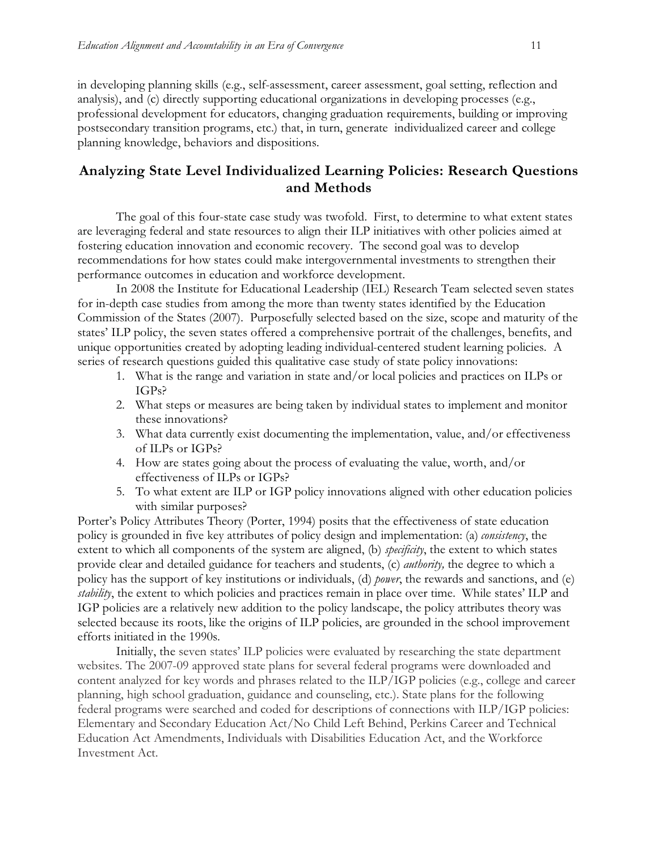in developing planning skills (e.g., self-assessment, career assessment, goal setting, reflection and analysis), and (c) directly supporting educational organizations in developing processes (e.g., professional development for educators, changing graduation requirements, building or improving postsecondary transition programs, etc.) that, in turn, generate individualized career and college planning knowledge, behaviors and dispositions.

## **Analyzing State Level Individualized Learning Policies: Research Questions and Methods**

The goal of this four-state case study was twofold. First, to determine to what extent states are leveraging federal and state resources to align their ILP initiatives with other policies aimed at fostering education innovation and economic recovery. The second goal was to develop recommendations for how states could make intergovernmental investments to strengthen their performance outcomes in education and workforce development.

In 2008 the Institute for Educational Leadership (IEL) Research Team selected seven states for in-depth case studies from among the more than twenty states identified by the Education Commission of the States (2007). Purposefully selected based on the size, scope and maturity of the states' ILP policy, the seven states offered a comprehensive portrait of the challenges, benefits, and unique opportunities created by adopting leading individual-centered student learning policies. A series of research questions guided this qualitative case study of state policy innovations:

- 1. What is the range and variation in state and/or local policies and practices on ILPs or IGPs?
- 2. What steps or measures are being taken by individual states to implement and monitor these innovations?
- 3. What data currently exist documenting the implementation, value, and/or effectiveness of ILPs or IGPs?
- 4. How are states going about the process of evaluating the value, worth, and/or effectiveness of ILPs or IGPs?
- 5. To what extent are ILP or IGP policy innovations aligned with other education policies with similar purposes?

Porter's Policy Attributes Theory (Porter, 1994) posits that the effectiveness of state education policy is grounded in five key attributes of policy design and implementation: (a) *consistency*, the extent to which all components of the system are aligned, (b) *specificity*, the extent to which states provide clear and detailed guidance for teachers and students, (c) *authority,* the degree to which a policy has the support of key institutions or individuals, (d) *power*, the rewards and sanctions, and (e) *stability*, the extent to which policies and practices remain in place over time. While states' ILP and IGP policies are a relatively new addition to the policy landscape, the policy attributes theory was selected because its roots, like the origins of ILP policies, are grounded in the school improvement efforts initiated in the 1990s.

Initially, the seven states' ILP policies were evaluated by researching the state department websites. The 2007-09 approved state plans for several federal programs were downloaded and content analyzed for key words and phrases related to the ILP/IGP policies (e.g., college and career planning, high school graduation, guidance and counseling, etc.). State plans for the following federal programs were searched and coded for descriptions of connections with ILP/IGP policies: Elementary and Secondary Education Act/No Child Left Behind, Perkins Career and Technical Education Act Amendments, Individuals with Disabilities Education Act, and the Workforce Investment Act.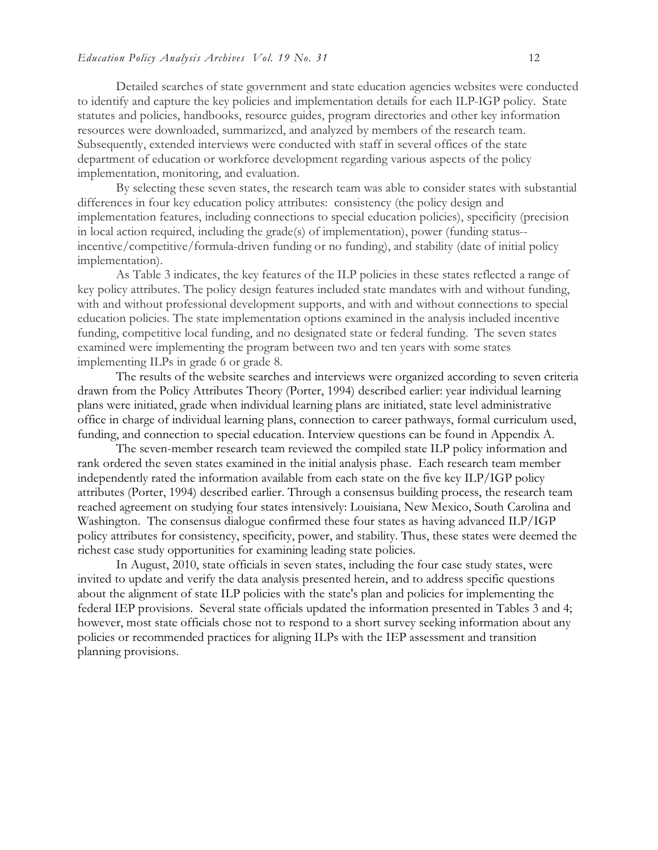Detailed searches of state government and state education agencies websites were conducted to identify and capture the key policies and implementation details for each ILP-IGP policy. State statutes and policies, handbooks, resource guides, program directories and other key information resources were downloaded, summarized, and analyzed by members of the research team. Subsequently, extended interviews were conducted with staff in several offices of the state department of education or workforce development regarding various aspects of the policy implementation, monitoring, and evaluation.

By selecting these seven states, the research team was able to consider states with substantial differences in four key education policy attributes: consistency (the policy design and implementation features, including connections to special education policies), specificity (precision in local action required, including the grade(s) of implementation), power (funding status- incentive/competitive/formula-driven funding or no funding), and stability (date of initial policy implementation).

As Table 3 indicates, the key features of the ILP policies in these states reflected a range of key policy attributes. The policy design features included state mandates with and without funding, with and without professional development supports, and with and without connections to special education policies. The state implementation options examined in the analysis included incentive funding, competitive local funding, and no designated state or federal funding. The seven states examined were implementing the program between two and ten years with some states implementing ILPs in grade 6 or grade 8.

The results of the website searches and interviews were organized according to seven criteria drawn from the Policy Attributes Theory (Porter, 1994) described earlier: year individual learning plans were initiated, grade when individual learning plans are initiated, state level administrative office in charge of individual learning plans, connection to career pathways, formal curriculum used, funding, and connection to special education. Interview questions can be found in Appendix A.

The seven-member research team reviewed the compiled state ILP policy information and rank ordered the seven states examined in the initial analysis phase. Each research team member independently rated the information available from each state on the five key ILP/IGP policy attributes (Porter, 1994) described earlier. Through a consensus building process, the research team reached agreement on studying four states intensively: Louisiana, New Mexico, South Carolina and Washington. The consensus dialogue confirmed these four states as having advanced ILP/IGP policy attributes for consistency, specificity, power, and stability. Thus, these states were deemed the richest case study opportunities for examining leading state policies.

In August, 2010, state officials in seven states, including the four case study states, were invited to update and verify the data analysis presented herein, and to address specific questions about the alignment of state ILP policies with the state's plan and policies for implementing the federal IEP provisions. Several state officials updated the information presented in Tables 3 and 4; however, most state officials chose not to respond to a short survey seeking information about any policies or recommended practices for aligning ILPs with the IEP assessment and transition planning provisions.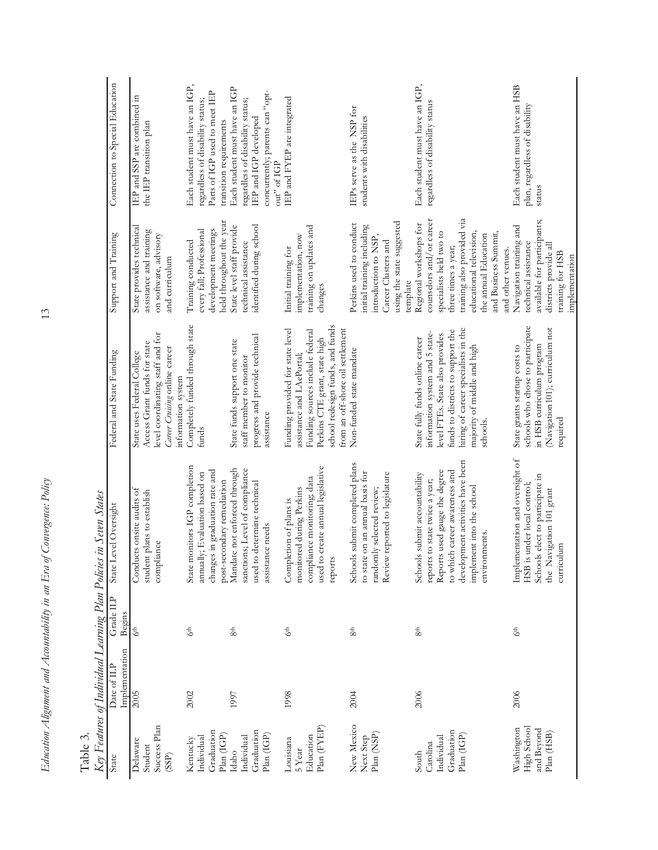| Table 3.                                                    | Key Features of Individual Learning Plan Policies |                     | in Seven States                                                                                                                                                                                                     |                                                                                                                                                                                                                              |                                                                                                                                                                                                                                    |                                                                                                                                              |
|-------------------------------------------------------------|---------------------------------------------------|---------------------|---------------------------------------------------------------------------------------------------------------------------------------------------------------------------------------------------------------------|------------------------------------------------------------------------------------------------------------------------------------------------------------------------------------------------------------------------------|------------------------------------------------------------------------------------------------------------------------------------------------------------------------------------------------------------------------------------|----------------------------------------------------------------------------------------------------------------------------------------------|
| State                                                       | Implementation<br>Date of ILP                     | Grade ILP<br>Begins | evel Oversight<br>State L                                                                                                                                                                                           | Federal and State Funding                                                                                                                                                                                                    | Support and Training                                                                                                                                                                                                               | Connection to Special Education                                                                                                              |
| Success Plan<br>Delaware<br>Student<br>(SSP)                | 2005                                              | 6 <sup>th</sup>     | Conducts onsite audits of<br>student plans to establish<br>compliance                                                                                                                                               | level coordinating staff and for<br>Access Grant funds for state<br>Career Cruising online career<br>State uses Federal College<br>information system                                                                        | State provides technical<br>assistance and training<br>on software, advisory<br>and curriculum                                                                                                                                     | IEP and SSP are combined in<br>the IEP transition plan                                                                                       |
| Graduation<br>Plan (IGP)<br>Individual<br>Kentucky          | 2002                                              | 6 <sup>th</sup>     | State monitors IGP completion<br>changes in graduation rate and<br>annually; Evaluation based on<br>post-secondary remediation                                                                                      | Completely funded through state<br>funds                                                                                                                                                                                     | held throughout the year<br>development meetings<br>every fall; Professional<br>Training conducted                                                                                                                                 | Each student must have an IGP,<br>Parts of IGP used to meet IEP<br>regardless of disability status;<br>transition requirements               |
| Graduation<br>Plan (IGP)<br>Individual<br>Idaho             | 1997                                              | 8 <sup>th</sup>     | sanctions; Level of compliance<br>Mandate not enforced through<br>used to determine technical<br>assistance needs                                                                                                   | progress and provide technical<br>State funds support one state<br>staff member to monitor<br>assistance                                                                                                                     | identified during school<br>State level staff provide<br>technical assistance                                                                                                                                                      | Each student must have an IGP<br>concurrently; parents can "opt-<br>regardless of disability status;<br>IEP and IGP developed<br>out" of IGP |
| Plan (FYEP)<br>Education<br>Louisiana<br>5 Year             | 1998                                              | 6 <sup>th</sup>     | create annual legislative<br>compliance monitoring; data<br>monitored during Perkins<br>Completion of plans is<br>used to<br>reports                                                                                | school redesign funds, and funds<br>from an off-shore oil settlement<br>Funding provided for state level<br>Funding sources include federal<br>Perkins CTE grant, state high<br>assistance and LAePortal;                    | training on updates and<br>implementation, now<br>Initial training for<br>changes                                                                                                                                                  | IEP and FYEP are integrated                                                                                                                  |
| New Mexico<br>Plan (NSP)<br>Next Step                       | 2004                                              | 8 <sup>th</sup>     | Schools submit completed plans<br>on an annual basis for<br>Review reported to legislature<br>randomly selected review;<br>to state                                                                                 | Non-funded state mandate                                                                                                                                                                                                     | using the state suggested<br>Perkins used to conduct<br>initial training including<br>introduction to NSP,<br>Career Clusters and<br>template                                                                                      | IEPs serve as the NSP for<br>students with disabilities                                                                                      |
| Graduation<br>Plan (IGP)<br>Individual<br>Carolina<br>South | 2006                                              | 8 <sup>th</sup>     | development activities have been<br>Reports used gauge the degree<br>to which career awareness and<br>Schools submit accountability<br>reports to state twice a year;<br>implement into the school<br>environments. | hiring of career specialists in the<br>funds to districts to support the<br>information system and 5 state-<br>level FTEs. State also provides<br>State fully funds online career<br>majority of middle and high<br>schools. | training also provided via<br>counselors and/or career<br>Regional workshops for<br>specialists held two to<br>educational television,<br>and Business Summit,<br>the annual Education<br>three times a year;<br>and other venues. | Each student must have an IGP,<br>regardless of disability status                                                                            |
| High School<br>Washington<br>and Beyond<br>Plan (HSB)       | 2006                                              | 6 <sup>th</sup>     | Implementation and oversight of<br>Schools elect to participate in<br>HSB is under local control;<br>the Navigation 101 grant<br>curriculum                                                                         | schools who chose to participate<br>(Navigation101); curriculum not<br>in HSB curriculum program<br>State grants startup costs to<br>required                                                                                | available for participants;<br>Navigation training and<br>technical assistance<br>districts provide all<br>training for HSB<br>implementation                                                                                      | Each student must have an HSB<br>plan, regardless of disability<br>status                                                                    |

 $13$ 

*Education Alignment and Accountability in an Era of Convergence: Policy* 13

Education Alignment and Accountability in an Era of Convergence: Policy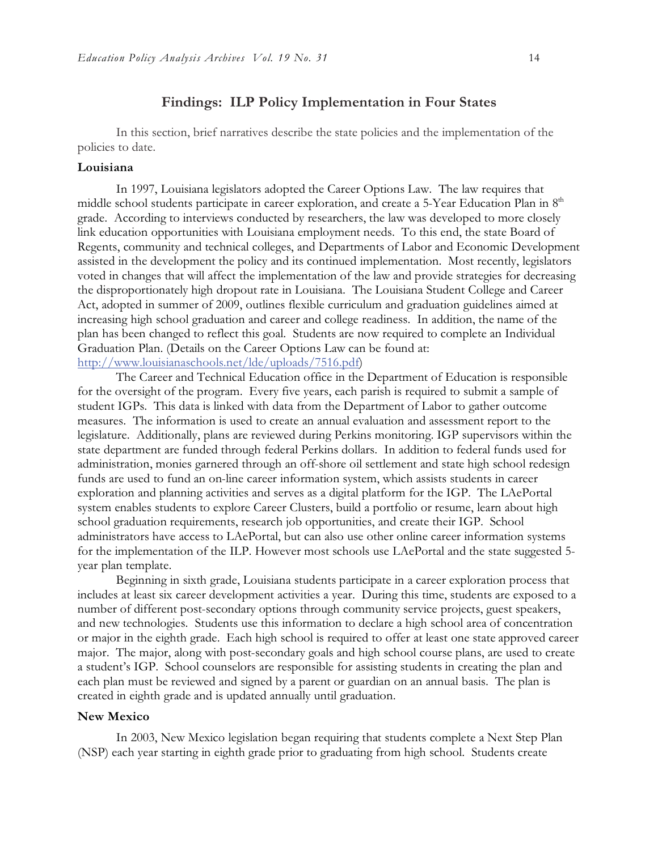## **Findings: ILP Policy Implementation in Four States**

In this section, brief narratives describe the state policies and the implementation of the policies to date.

#### **Louisiana**

In 1997, Louisiana legislators adopted the Career Options Law. The law requires that middle school students participate in career exploration, and create a 5-Year Education Plan in 8<sup>th</sup> grade. According to interviews conducted by researchers, the law was developed to more closely link education opportunities with Louisiana employment needs. To this end, the state Board of Regents, community and technical colleges, and Departments of Labor and Economic Development assisted in the development the policy and its continued implementation. Most recently, legislators voted in changes that will affect the implementation of the law and provide strategies for decreasing the disproportionately high dropout rate in Louisiana. The Louisiana Student College and Career Act, adopted in summer of 2009, outlines flexible curriculum and graduation guidelines aimed at increasing high school graduation and career and college readiness. In addition, the name of the plan has been changed to reflect this goal. Students are now required to complete an Individual Graduation Plan. (Details on the Career Options Law can be found at: http://www.louisianaschools.net/lde/uploads/7516.pdf)

The Career and Technical Education office in the Department of Education is responsible for the oversight of the program. Every five years, each parish is required to submit a sample of student IGPs. This data is linked with data from the Department of Labor to gather outcome measures. The information is used to create an annual evaluation and assessment report to the legislature. Additionally, plans are reviewed during Perkins monitoring. IGP supervisors within the state department are funded through federal Perkins dollars. In addition to federal funds used for administration, monies garnered through an off-shore oil settlement and state high school redesign funds are used to fund an on-line career information system, which assists students in career exploration and planning activities and serves as a digital platform for the IGP. The LAePortal system enables students to explore Career Clusters, build a portfolio or resume, learn about high school graduation requirements, research job opportunities, and create their IGP. School administrators have access to LAePortal, but can also use other online career information systems for the implementation of the ILP. However most schools use LAePortal and the state suggested 5 year plan template.

Beginning in sixth grade, Louisiana students participate in a career exploration process that includes at least six career development activities a year. During this time, students are exposed to a number of different post-secondary options through community service projects, guest speakers, and new technologies. Students use this information to declare a high school area of concentration or major in the eighth grade. Each high school is required to offer at least one state approved career major. The major, along with post-secondary goals and high school course plans, are used to create a student's IGP. School counselors are responsible for assisting students in creating the plan and each plan must be reviewed and signed by a parent or guardian on an annual basis. The plan is created in eighth grade and is updated annually until graduation.

#### **New Mexico**

In 2003, New Mexico legislation began requiring that students complete a Next Step Plan (NSP) each year starting in eighth grade prior to graduating from high school. Students create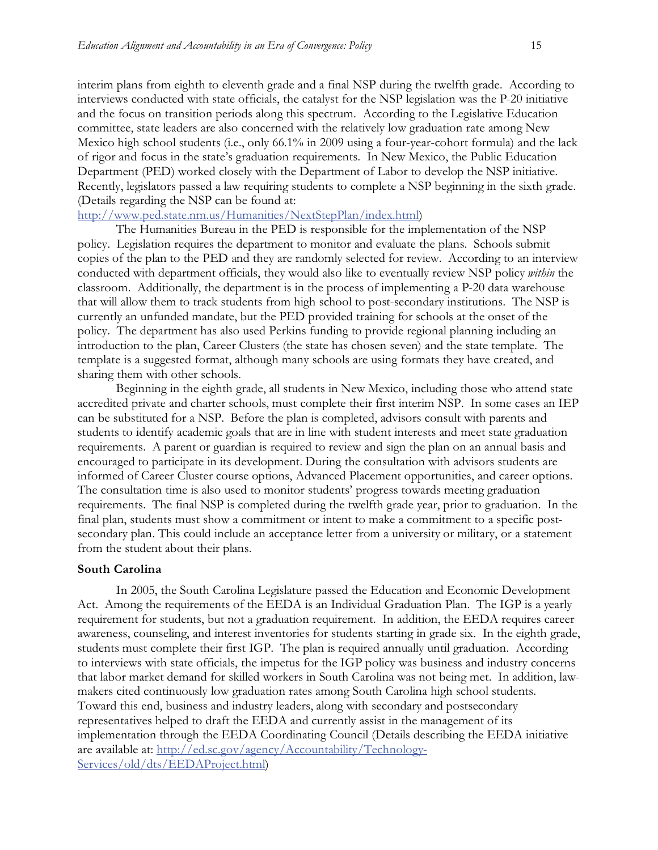interim plans from eighth to eleventh grade and a final NSP during the twelfth grade. According to interviews conducted with state officials, the catalyst for the NSP legislation was the P-20 initiative and the focus on transition periods along this spectrum. According to the Legislative Education committee, state leaders are also concerned with the relatively low graduation rate among New Mexico high school students (i.e., only 66.1% in 2009 using a four-year-cohort formula) and the lack of rigor and focus in the state's graduation requirements. In New Mexico, the Public Education Department (PED) worked closely with the Department of Labor to develop the NSP initiative. Recently, legislators passed a law requiring students to complete a NSP beginning in the sixth grade. (Details regarding the NSP can be found at:

#### http://www.ped.state.nm.us/Humanities/NextStepPlan/index.html)

The Humanities Bureau in the PED is responsible for the implementation of the NSP policy. Legislation requires the department to monitor and evaluate the plans. Schools submit copies of the plan to the PED and they are randomly selected for review. According to an interview conducted with department officials, they would also like to eventually review NSP policy *within* the classroom. Additionally, the department is in the process of implementing a P-20 data warehouse that will allow them to track students from high school to post-secondary institutions. The NSP is currently an unfunded mandate, but the PED provided training for schools at the onset of the policy. The department has also used Perkins funding to provide regional planning including an introduction to the plan, Career Clusters (the state has chosen seven) and the state template. The template is a suggested format, although many schools are using formats they have created, and sharing them with other schools.

Beginning in the eighth grade, all students in New Mexico, including those who attend state accredited private and charter schools, must complete their first interim NSP. In some cases an IEP can be substituted for a NSP. Before the plan is completed, advisors consult with parents and students to identify academic goals that are in line with student interests and meet state graduation requirements. A parent or guardian is required to review and sign the plan on an annual basis and encouraged to participate in its development. During the consultation with advisors students are informed of Career Cluster course options, Advanced Placement opportunities, and career options. The consultation time is also used to monitor students' progress towards meeting graduation requirements. The final NSP is completed during the twelfth grade year, prior to graduation. In the final plan, students must show a commitment or intent to make a commitment to a specific postsecondary plan. This could include an acceptance letter from a university or military, or a statement from the student about their plans.

#### **South Carolina**

In 2005, the South Carolina Legislature passed the Education and Economic Development Act. Among the requirements of the EEDA is an Individual Graduation Plan. The IGP is a yearly requirement for students, but not a graduation requirement. In addition, the EEDA requires career awareness, counseling, and interest inventories for students starting in grade six. In the eighth grade, students must complete their first IGP. The plan is required annually until graduation. According to interviews with state officials, the impetus for the IGP policy was business and industry concerns that labor market demand for skilled workers in South Carolina was not being met. In addition, lawmakers cited continuously low graduation rates among South Carolina high school students. Toward this end, business and industry leaders, along with secondary and postsecondary representatives helped to draft the EEDA and currently assist in the management of its implementation through the EEDA Coordinating Council (Details describing the EEDA initiative are available at: http://ed.sc.gov/agency/Accountability/Technology-Services/old/dts/EEDAProject.html)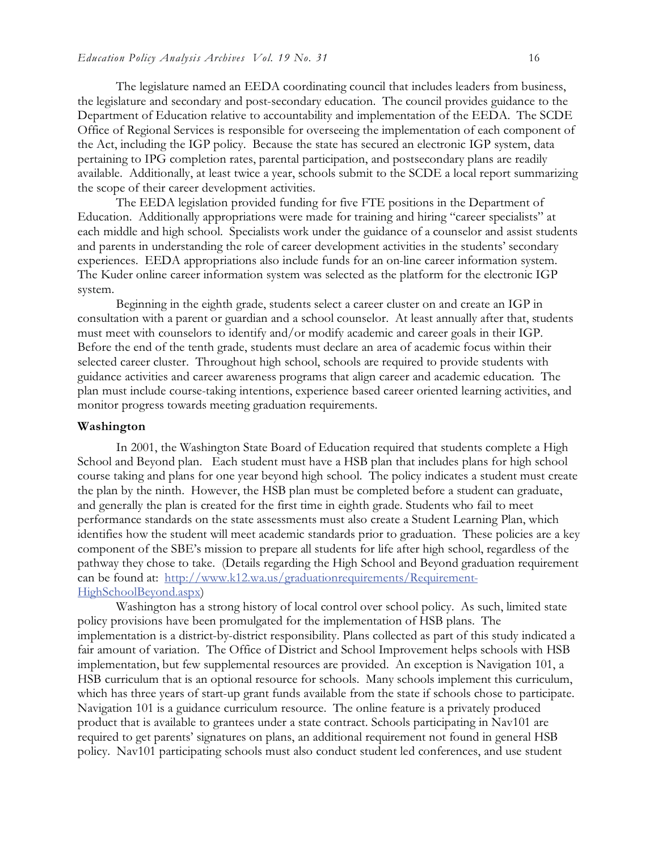The legislature named an EEDA coordinating council that includes leaders from business, the legislature and secondary and post-secondary education. The council provides guidance to the Department of Education relative to accountability and implementation of the EEDA. The SCDE Office of Regional Services is responsible for overseeing the implementation of each component of the Act, including the IGP policy. Because the state has secured an electronic IGP system, data pertaining to IPG completion rates, parental participation, and postsecondary plans are readily available. Additionally, at least twice a year, schools submit to the SCDE a local report summarizing the scope of their career development activities.

The EEDA legislation provided funding for five FTE positions in the Department of Education. Additionally appropriations were made for training and hiring "career specialists" at each middle and high school. Specialists work under the guidance of a counselor and assist students and parents in understanding the role of career development activities in the students' secondary experiences. EEDA appropriations also include funds for an on-line career information system. The Kuder online career information system was selected as the platform for the electronic IGP system.

Beginning in the eighth grade, students select a career cluster on and create an IGP in consultation with a parent or guardian and a school counselor. At least annually after that, students must meet with counselors to identify and/or modify academic and career goals in their IGP. Before the end of the tenth grade, students must declare an area of academic focus within their selected career cluster. Throughout high school, schools are required to provide students with guidance activities and career awareness programs that align career and academic education. The plan must include course-taking intentions, experience based career oriented learning activities, and monitor progress towards meeting graduation requirements.

#### **Washington**

In 2001, the Washington State Board of Education required that students complete a High School and Beyond plan. Each student must have a HSB plan that includes plans for high school course taking and plans for one year beyond high school. The policy indicates a student must create the plan by the ninth. However, the HSB plan must be completed before a student can graduate, and generally the plan is created for the first time in eighth grade. Students who fail to meet performance standards on the state assessments must also create a Student Learning Plan, which identifies how the student will meet academic standards prior to graduation. These policies are a key component of the SBE's mission to prepare all students for life after high school, regardless of the pathway they chose to take. (Details regarding the High School and Beyond graduation requirement can be found at: http://www.k12.wa.us/graduationrequirements/Requirement-HighSchoolBeyond.aspx)

Washington has a strong history of local control over school policy. As such, limited state policy provisions have been promulgated for the implementation of HSB plans. The implementation is a district-by-district responsibility. Plans collected as part of this study indicated a fair amount of variation. The Office of District and School Improvement helps schools with HSB implementation, but few supplemental resources are provided. An exception is Navigation 101, a HSB curriculum that is an optional resource for schools. Many schools implement this curriculum, which has three years of start-up grant funds available from the state if schools chose to participate. Navigation 101 is a guidance curriculum resource. The online feature is a privately produced product that is available to grantees under a state contract. Schools participating in Nav101 are required to get parents' signatures on plans, an additional requirement not found in general HSB policy. Nav101 participating schools must also conduct student led conferences, and use student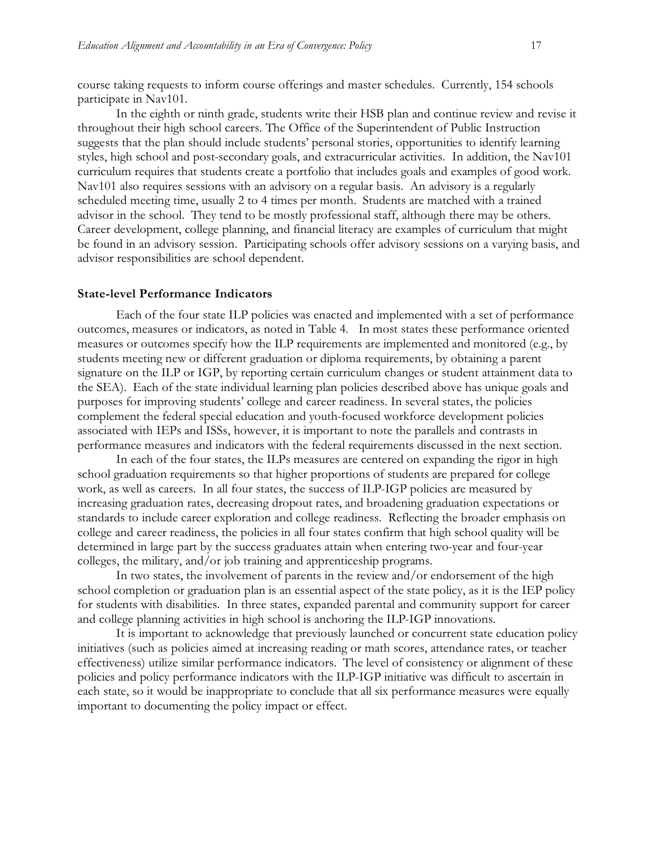course taking requests to inform course offerings and master schedules. Currently, 154 schools participate in Nav101.

In the eighth or ninth grade, students write their HSB plan and continue review and revise it throughout their high school careers. The Office of the Superintendent of Public Instruction suggests that the plan should include students' personal stories, opportunities to identify learning styles, high school and post-secondary goals, and extracurricular activities. In addition, the Nav101 curriculum requires that students create a portfolio that includes goals and examples of good work. Nav101 also requires sessions with an advisory on a regular basis. An advisory is a regularly scheduled meeting time, usually 2 to 4 times per month. Students are matched with a trained advisor in the school. They tend to be mostly professional staff, although there may be others. Career development, college planning, and financial literacy are examples of curriculum that might be found in an advisory session. Participating schools offer advisory sessions on a varying basis, and advisor responsibilities are school dependent.

#### **State-level Performance Indicators**

Each of the four state ILP policies was enacted and implemented with a set of performance outcomes, measures or indicators, as noted in Table 4. In most states these performance oriented measures or outcomes specify how the ILP requirements are implemented and monitored (e.g., by students meeting new or different graduation or diploma requirements, by obtaining a parent signature on the ILP or IGP, by reporting certain curriculum changes or student attainment data to the SEA). Each of the state individual learning plan policies described above has unique goals and purposes for improving students' college and career readiness. In several states, the policies complement the federal special education and youth-focused workforce development policies associated with IEPs and ISSs, however, it is important to note the parallels and contrasts in performance measures and indicators with the federal requirements discussed in the next section.

In each of the four states, the ILPs measures are centered on expanding the rigor in high school graduation requirements so that higher proportions of students are prepared for college work, as well as careers. In all four states, the success of ILP-IGP policies are measured by increasing graduation rates, decreasing dropout rates, and broadening graduation expectations or standards to include career exploration and college readiness. Reflecting the broader emphasis on college and career readiness, the policies in all four states confirm that high school quality will be determined in large part by the success graduates attain when entering two-year and four-year colleges, the military, and/or job training and apprenticeship programs.

In two states, the involvement of parents in the review and/or endorsement of the high school completion or graduation plan is an essential aspect of the state policy, as it is the IEP policy for students with disabilities. In three states, expanded parental and community support for career and college planning activities in high school is anchoring the ILP-IGP innovations.

It is important to acknowledge that previously launched or concurrent state education policy initiatives (such as policies aimed at increasing reading or math scores, attendance rates, or teacher effectiveness) utilize similar performance indicators. The level of consistency or alignment of these policies and policy performance indicators with the ILP-IGP initiative was difficult to ascertain in each state, so it would be inappropriate to conclude that all six performance measures were equally important to documenting the policy impact or effect.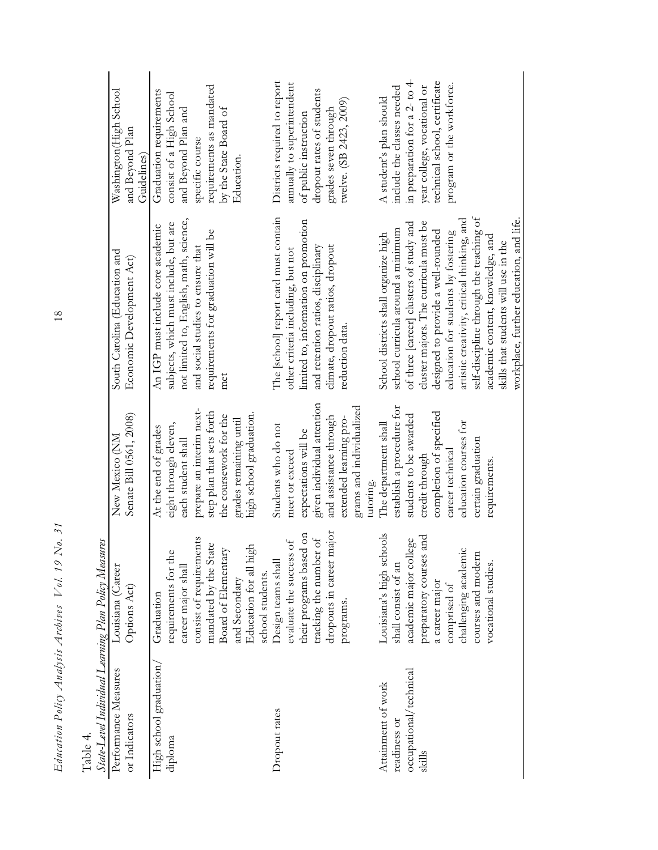| . uu101.                                             |                                               |                                                     |                                                                              |                                                          |
|------------------------------------------------------|-----------------------------------------------|-----------------------------------------------------|------------------------------------------------------------------------------|----------------------------------------------------------|
| State-Level Individual Learning Plan Policy Measures |                                               |                                                     |                                                                              |                                                          |
| Performance Measures<br>or Indicators                | Louisiana (Career<br>Options Act)             | Senate Bill 0561, 2008)<br>New Mexico (NM           | South Carolina (Education and<br>Economic Development Act)                   | Washington(High School<br>and Beyond Plan<br>Guidelines) |
| High school graduation<br>diploma                    | requirements for the<br>Graduation            | eight through eleven,<br>At the end of grades       | subjects, which must include, but are<br>An IGP must include core academic   | Graduation requirements<br>consist of a High School      |
|                                                      | consist of requirements<br>career major shall | prepare an interim next-<br>each student shall      | not limited to, English, math, science,<br>and social studies to ensure that | and Beyond Plan and<br>specific course                   |
|                                                      | mandated by the State<br>Board of Elementary  | step plan that sets forth<br>the coursework for the | requirements for graduation will be<br>met                                   | requirements as mandated<br>by the State Board of        |
|                                                      | Education for all high<br>and Secondary       | high school graduation.<br>grades remaining until   |                                                                              | Education.                                               |
|                                                      | school students.                              |                                                     |                                                                              |                                                          |
| Dropout rates                                        | Design teams shall                            | Students who do not                                 | The [school] report card must contain                                        | Districts required to report                             |
|                                                      | $\mathcal{F}$<br>evaluate the success         | meet or exceed                                      | other criteria including, but not                                            | annually to superintendent                               |
|                                                      | their programs based on                       | expectations will be                                | limited to, information on promotion                                         | of public instruction                                    |
|                                                      | $\sigma$<br>tracking the number               | given individual attention                          | and retention ratios, disciplinary                                           | dropout rates of students                                |
|                                                      | dropouts in career major                      | and assistance through                              | climate, dropout ratios, dropout                                             | grades seven through                                     |
|                                                      | programs.                                     | grams and individualized<br>extended learning pro-  | reduction data.                                                              | twelve. (SB 2423, 2009)                                  |
|                                                      |                                               | tutoring.                                           |                                                                              |                                                          |
| Attainment of work                                   | Louisiana's high schools                      | The department shall                                | School districts shall organize high                                         | A student's plan should                                  |
| readiness or                                         | shall consist of an                           | establish a procedure for                           | school curricula around a minimum                                            | include the classes needed                               |
| occupational/technical                               | academic major college                        | students to be awarded                              | of three [career] clusters of study and                                      | in preparation for a 2- to 4-                            |
| skills                                               | preparatory courses and                       | credit through                                      | cluster majors. The curricula must be                                        | year college, vocational or                              |
|                                                      | a career major                                | completion of specified                             | designed to provide a well-rounded                                           | technical school, certificate                            |
|                                                      | comprised of                                  | career technical                                    | education for students by fostering                                          | program or the workforce.                                |
|                                                      | challenging academic                          | education courses for                               | artistic creativity, critical thinking, and                                  |                                                          |
|                                                      | courses and modern                            | certain graduation                                  | self-discipline through the teaching of                                      |                                                          |
|                                                      | vocational studies.                           | requirements.                                       | academic content, knowledge, and                                             |                                                          |
|                                                      |                                               |                                                     | skills that students will use in the                                         |                                                          |
|                                                      |                                               |                                                     | workplace, further education, and life.                                      |                                                          |

 $\frac{18}{18}$ *Education Policy Analysis Archives Vol. 19 No. 31* 18

Table 4.

Education Policy Analysis Archives Vol. 19 No. 31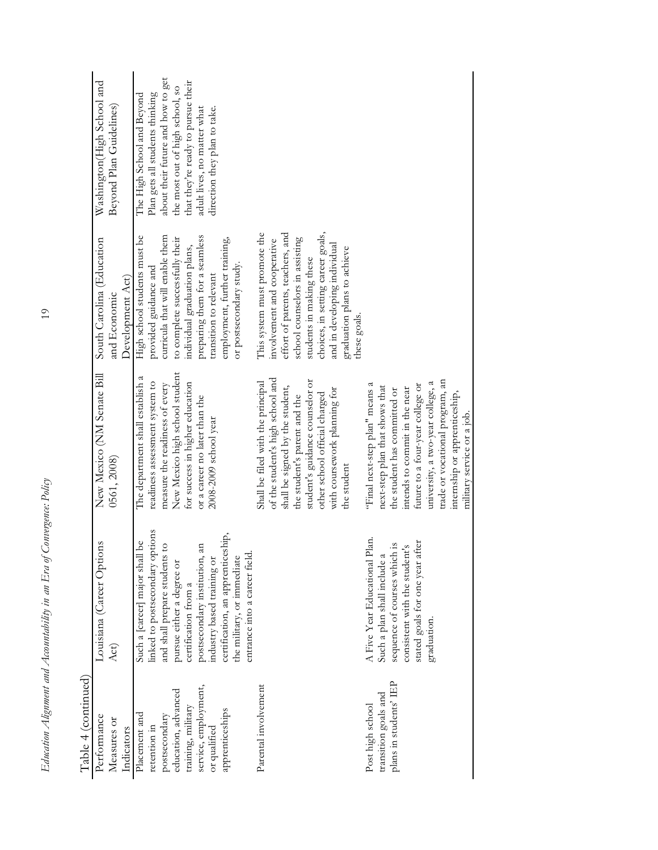| Table 4 (continued)                                                                                                                                    |                                                                                                                                                                                                                                                                                                                               |                                                                                                                                                                                                                                                                                                              |                                                                                                                                                                                                                                                                                   |                                                                                                                                                                                                                                            |
|--------------------------------------------------------------------------------------------------------------------------------------------------------|-------------------------------------------------------------------------------------------------------------------------------------------------------------------------------------------------------------------------------------------------------------------------------------------------------------------------------|--------------------------------------------------------------------------------------------------------------------------------------------------------------------------------------------------------------------------------------------------------------------------------------------------------------|-----------------------------------------------------------------------------------------------------------------------------------------------------------------------------------------------------------------------------------------------------------------------------------|--------------------------------------------------------------------------------------------------------------------------------------------------------------------------------------------------------------------------------------------|
| Performance<br>Measures or<br>Indicators                                                                                                               | Louisiana (Career Options<br>Act)                                                                                                                                                                                                                                                                                             | New Mexico (NM Senate Bill<br>0561, 2008)                                                                                                                                                                                                                                                                    | South Carolina (Education<br>Development Act)<br>and Economic                                                                                                                                                                                                                     | Washington(High School and<br>Beyond Plan Guidelines)                                                                                                                                                                                      |
| service, employment,<br>education, advanced<br>training, military<br>apprenticeships<br>Placement and<br>postsecondary<br>retention in<br>or qualified | linked to postsecondary options<br>certification, an apprenticeship,<br>be<br>and shall prepare students to<br>postsecondary institution, an<br>Such a [career] major shall<br>entrance into a career field.<br>the military, or immediate<br>industry based training or<br>pursue either a degree or<br>certification from a | New Mexico high school student<br>The department shall establish a<br>readiness assessment system to<br>for success in higher education<br>measure the readiness of every<br>or a career no later than the<br>2008-2009 school year                                                                          | curricula that will enable them<br>High school students must be<br>preparing them for a seamless<br>to complete successfully their<br>employment, further training,<br>individual graduation plans,<br>or postsecondary study.<br>provided guidance and<br>transition to relevant | about their future and how to get<br>that they're ready to pursue their<br>the most out of high school, so<br>Plan gets all students thinking<br>The High School and Beyond<br>adult lives, no matter what<br>direction they plan to take. |
| Parental involvement                                                                                                                                   |                                                                                                                                                                                                                                                                                                                               | of the student's high school and<br>student's guidance counselor or<br>Shall be filed with the principal<br>shall be signed by the student,<br>with coursework planning for<br>other school official charged<br>the student's parent and the<br>the student                                                  | This system must promote the<br>effort of parents, teachers, and<br>choices, in setting career goals,<br>school counselors in assisting<br>involvement and cooperative<br>and in developing individual<br>graduation plans to achieve<br>students in making these<br>these goals. |                                                                                                                                                                                                                                            |
| plans in students' IEP<br>transition goals and<br>Post high school                                                                                     | A Five Year Educational Plan.<br>stated goals for one year after<br>$\overline{\mathbf{S}}$<br>consistent with the student's<br>sequence of courses which<br>Such a plan shall include a<br>graduation.                                                                                                                       | trade or vocational program, an<br>university, a two-year college, a<br>"Final next-step plan" means a<br>future to a four-year college or<br>next-step plan that shows that<br>intends to commit in the near<br>the student has committed or<br>internship or apprenticeship,<br>military service or a job. |                                                                                                                                                                                                                                                                                   |                                                                                                                                                                                                                                            |

 $19$ 

*Education Alignment and Accountability in an Era of Convergence: Policy* 19 Education Alignment and Accountability in an Era of Convergence: Policy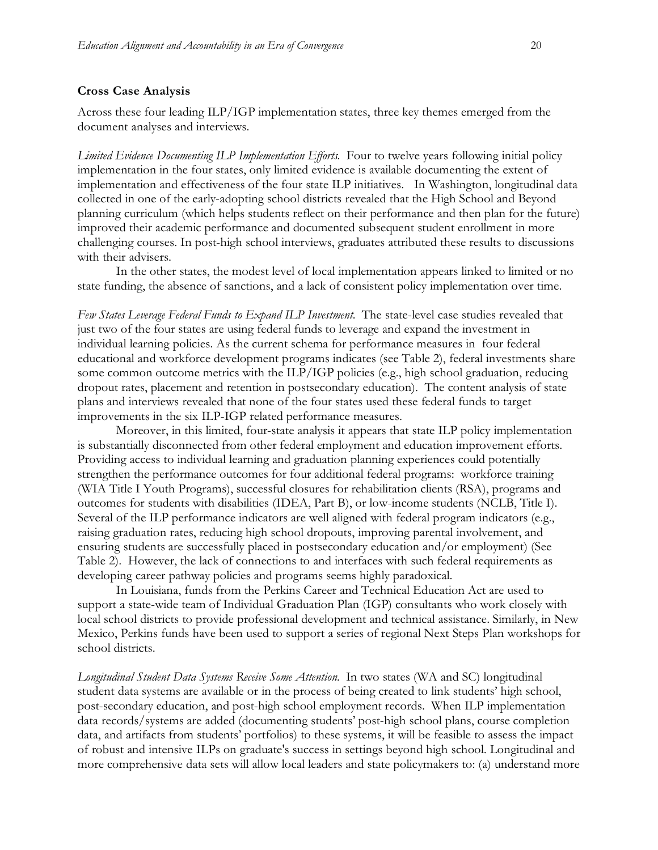#### **Cross Case Analysis**

Across these four leading ILP/IGP implementation states, three key themes emerged from the document analyses and interviews.

*Limited Evidence Documenting ILP Implementation Efforts*.Four to twelve years following initial policy implementation in the four states, only limited evidence is available documenting the extent of implementation and effectiveness of the four state ILP initiatives. In Washington, longitudinal data collected in one of the early-adopting school districts revealed that the High School and Beyond planning curriculum (which helps students reflect on their performance and then plan for the future) improved their academic performance and documented subsequent student enrollment in more challenging courses. In post-high school interviews, graduates attributed these results to discussions with their advisers.

In the other states, the modest level of local implementation appears linked to limited or no state funding, the absence of sanctions, and a lack of consistent policy implementation over time.

*Few States Leverage Federal Funds to Expand ILP Investment.*The state-level case studies revealed that just two of the four states are using federal funds to leverage and expand the investment in individual learning policies. As the current schema for performance measures in four federal educational and workforce development programs indicates (see Table 2), federal investments share some common outcome metrics with the ILP/IGP policies (e.g., high school graduation, reducing dropout rates, placement and retention in postsecondary education). The content analysis of state plans and interviews revealed that none of the four states used these federal funds to target improvements in the six ILP-IGP related performance measures.

Moreover, in this limited, four-state analysis it appears that state ILP policy implementation is substantially disconnected from other federal employment and education improvement efforts. Providing access to individual learning and graduation planning experiences could potentially strengthen the performance outcomes for four additional federal programs: workforce training (WIA Title I Youth Programs), successful closures for rehabilitation clients (RSA), programs and outcomes for students with disabilities (IDEA, Part B), or low-income students (NCLB, Title I). Several of the ILP performance indicators are well aligned with federal program indicators (e.g., raising graduation rates, reducing high school dropouts, improving parental involvement, and ensuring students are successfully placed in postsecondary education and/or employment) (See Table 2). However, the lack of connections to and interfaces with such federal requirements as developing career pathway policies and programs seems highly paradoxical.

In Louisiana, funds from the Perkins Career and Technical Education Act are used to support a state-wide team of Individual Graduation Plan (IGP) consultants who work closely with local school districts to provide professional development and technical assistance. Similarly, in New Mexico, Perkins funds have been used to support a series of regional Next Steps Plan workshops for school districts.

*Longitudinal Student Data Systems Receive Some Attention.* In two states (WA and SC) longitudinal student data systems are available or in the process of being created to link students' high school, post-secondary education, and post-high school employment records. When ILP implementation data records/systems are added (documenting students' post-high school plans, course completion data, and artifacts from students' portfolios) to these systems, it will be feasible to assess the impact of robust and intensive ILPs on graduate's success in settings beyond high school. Longitudinal and more comprehensive data sets will allow local leaders and state policymakers to: (a) understand more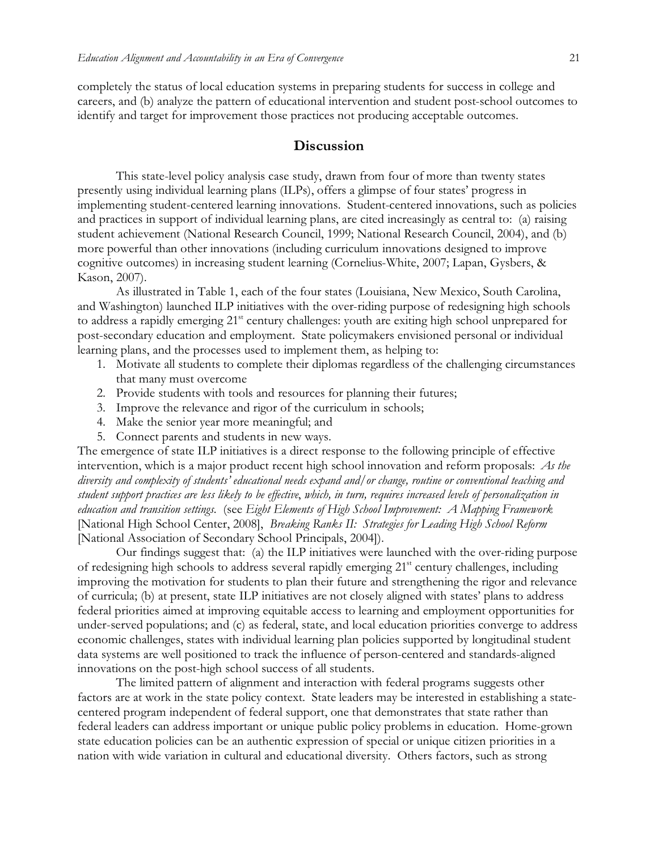completely the status of local education systems in preparing students for success in college and careers, and (b) analyze the pattern of educational intervention and student post-school outcomes to identify and target for improvement those practices not producing acceptable outcomes.

## **Discussion**

This state-level policy analysis case study, drawn from four of more than twenty states presently using individual learning plans (ILPs), offers a glimpse of four states' progress in implementing student-centered learning innovations. Student-centered innovations, such as policies and practices in support of individual learning plans, are cited increasingly as central to: (a) raising student achievement (National Research Council, 1999; National Research Council, 2004), and (b) more powerful than other innovations (including curriculum innovations designed to improve cognitive outcomes) in increasing student learning (Cornelius-White, 2007; Lapan, Gysbers, & Kason, 2007).

As illustrated in Table 1, each of the four states (Louisiana, New Mexico, South Carolina, and Washington) launched ILP initiatives with the over-riding purpose of redesigning high schools to address a rapidly emerging 21<sup>st</sup> century challenges: youth are exiting high school unprepared for post-secondary education and employment. State policymakers envisioned personal or individual learning plans, and the processes used to implement them, as helping to:

- 1. Motivate all students to complete their diplomas regardless of the challenging circumstances that many must overcome
- 2. Provide students with tools and resources for planning their futures;
- 3. Improve the relevance and rigor of the curriculum in schools;
- 4. Make the senior year more meaningful; and
- 5. Connect parents and students in new ways.

The emergence of state ILP initiatives is a direct response to the following principle of effective intervention, which is a major product recent high school innovation and reform proposals: *As the diversity and complexity of students' educational needs expand and/or change, routine or conventional teaching and student support practices are less likely to be effective*, *which, in turn, requires increased levels of personalization in education and transition settings.* (see *Eight Elements of High School Improvement: A Mapping Framework* [National High School Center, 2008], *Breaking Ranks II: Strategies for Leading High School Reform*  [National Association of Secondary School Principals, 2004]).

Our findings suggest that: (a) the ILP initiatives were launched with the over-riding purpose of redesigning high schools to address several rapidly emerging 21<sup>st</sup> century challenges, including improving the motivation for students to plan their future and strengthening the rigor and relevance of curricula; (b) at present, state ILP initiatives are not closely aligned with states' plans to address federal priorities aimed at improving equitable access to learning and employment opportunities for under-served populations; and (c) as federal, state, and local education priorities converge to address economic challenges, states with individual learning plan policies supported by longitudinal student data systems are well positioned to track the influence of person-centered and standards-aligned innovations on the post-high school success of all students.

The limited pattern of alignment and interaction with federal programs suggests other factors are at work in the state policy context. State leaders may be interested in establishing a statecentered program independent of federal support, one that demonstrates that state rather than federal leaders can address important or unique public policy problems in education. Home-grown state education policies can be an authentic expression of special or unique citizen priorities in a nation with wide variation in cultural and educational diversity. Others factors, such as strong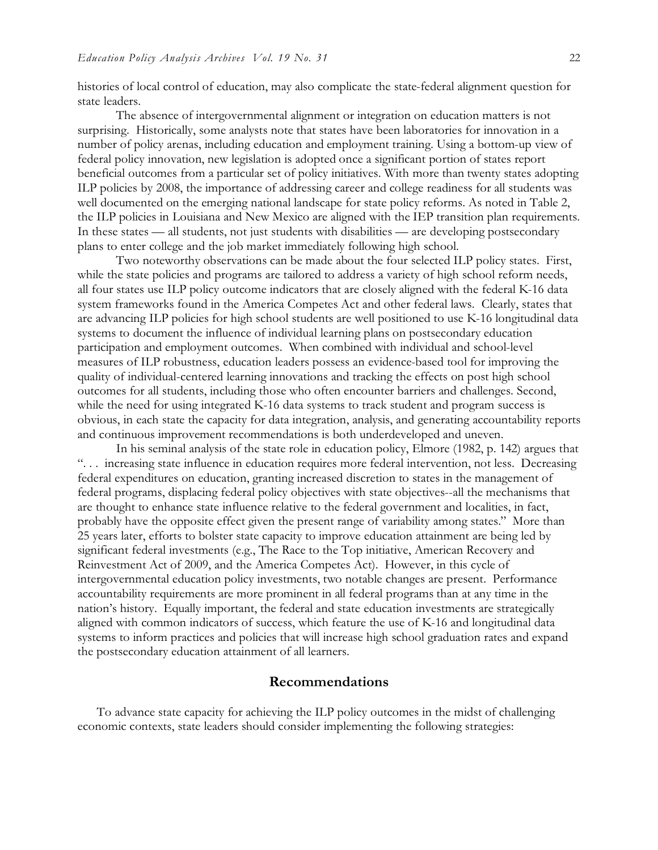histories of local control of education, may also complicate the state-federal alignment question for state leaders.

The absence of intergovernmental alignment or integration on education matters is not surprising. Historically, some analysts note that states have been laboratories for innovation in a number of policy arenas, including education and employment training. Using a bottom-up view of federal policy innovation, new legislation is adopted once a significant portion of states report beneficial outcomes from a particular set of policy initiatives. With more than twenty states adopting ILP policies by 2008, the importance of addressing career and college readiness for all students was well documented on the emerging national landscape for state policy reforms. As noted in Table 2, the ILP policies in Louisiana and New Mexico are aligned with the IEP transition plan requirements. In these states — all students, not just students with disabilities — are developing postsecondary plans to enter college and the job market immediately following high school.

Two noteworthy observations can be made about the four selected ILP policy states. First, while the state policies and programs are tailored to address a variety of high school reform needs, all four states use ILP policy outcome indicators that are closely aligned with the federal K-16 data system frameworks found in the America Competes Act and other federal laws. Clearly, states that are advancing ILP policies for high school students are well positioned to use K-16 longitudinal data systems to document the influence of individual learning plans on postsecondary education participation and employment outcomes. When combined with individual and school-level measures of ILP robustness, education leaders possess an evidence-based tool for improving the quality of individual-centered learning innovations and tracking the effects on post high school outcomes for all students, including those who often encounter barriers and challenges. Second, while the need for using integrated K-16 data systems to track student and program success is obvious, in each state the capacity for data integration, analysis, and generating accountability reports and continuous improvement recommendations is both underdeveloped and uneven.

In his seminal analysis of the state role in education policy, Elmore (1982, p. 142) argues that ". . . increasing state influence in education requires more federal intervention, not less. Decreasing federal expenditures on education, granting increased discretion to states in the management of federal programs, displacing federal policy objectives with state objectives--all the mechanisms that are thought to enhance state influence relative to the federal government and localities, in fact, probably have the opposite effect given the present range of variability among states." More than 25 years later, efforts to bolster state capacity to improve education attainment are being led by significant federal investments (e.g., The Race to the Top initiative, American Recovery and Reinvestment Act of 2009, and the America Competes Act). However, in this cycle of intergovernmental education policy investments, two notable changes are present. Performance accountability requirements are more prominent in all federal programs than at any time in the nation's history. Equally important, the federal and state education investments are strategically aligned with common indicators of success, which feature the use of K-16 and longitudinal data systems to inform practices and policies that will increase high school graduation rates and expand the postsecondary education attainment of all learners.

#### **Recommendations**

To advance state capacity for achieving the ILP policy outcomes in the midst of challenging economic contexts, state leaders should consider implementing the following strategies: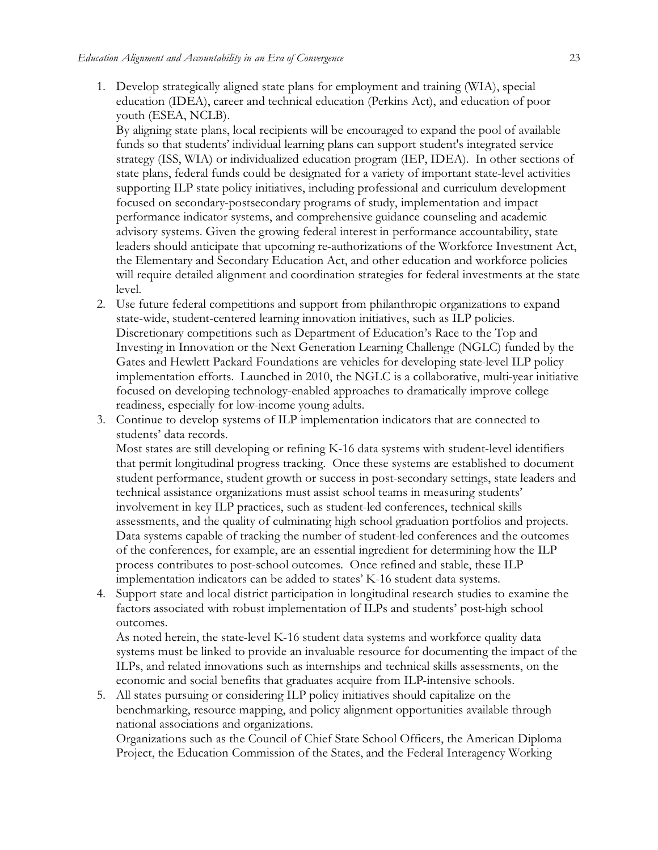1. Develop strategically aligned state plans for employment and training (WIA), special education (IDEA), career and technical education (Perkins Act), and education of poor youth (ESEA, NCLB).

By aligning state plans, local recipients will be encouraged to expand the pool of available funds so that students' individual learning plans can support student's integrated service strategy (ISS, WIA) or individualized education program (IEP, IDEA). In other sections of state plans, federal funds could be designated for a variety of important state-level activities supporting ILP state policy initiatives, including professional and curriculum development focused on secondary-postsecondary programs of study, implementation and impact performance indicator systems, and comprehensive guidance counseling and academic advisory systems. Given the growing federal interest in performance accountability, state leaders should anticipate that upcoming re-authorizations of the Workforce Investment Act, the Elementary and Secondary Education Act, and other education and workforce policies will require detailed alignment and coordination strategies for federal investments at the state level.

- 2. Use future federal competitions and support from philanthropic organizations to expand state-wide, student-centered learning innovation initiatives, such as ILP policies. Discretionary competitions such as Department of Education's Race to the Top and Investing in Innovation or the Next Generation Learning Challenge (NGLC) funded by the Gates and Hewlett Packard Foundations are vehicles for developing state-level ILP policy implementation efforts. Launched in 2010, the NGLC is a collaborative, multi-year initiative focused on developing technology-enabled approaches to dramatically improve college readiness, especially for low-income young adults.
- 3. Continue to develop systems of ILP implementation indicators that are connected to students' data records.

Most states are still developing or refining K-16 data systems with student-level identifiers that permit longitudinal progress tracking. Once these systems are established to document student performance, student growth or success in post-secondary settings, state leaders and technical assistance organizations must assist school teams in measuring students' involvement in key ILP practices, such as student-led conferences, technical skills assessments, and the quality of culminating high school graduation portfolios and projects. Data systems capable of tracking the number of student-led conferences and the outcomes of the conferences, for example, are an essential ingredient for determining how the ILP process contributes to post-school outcomes. Once refined and stable, these ILP implementation indicators can be added to states' K-16 student data systems.

4. Support state and local district participation in longitudinal research studies to examine the factors associated with robust implementation of ILPs and students' post-high school outcomes.

As noted herein, the state-level K-16 student data systems and workforce quality data systems must be linked to provide an invaluable resource for documenting the impact of the ILPs, and related innovations such as internships and technical skills assessments, on the economic and social benefits that graduates acquire from ILP-intensive schools.

5. All states pursuing or considering ILP policy initiatives should capitalize on the benchmarking, resource mapping, and policy alignment opportunities available through national associations and organizations.

Organizations such as the Council of Chief State School Officers, the American Diploma Project, the Education Commission of the States, and the Federal Interagency Working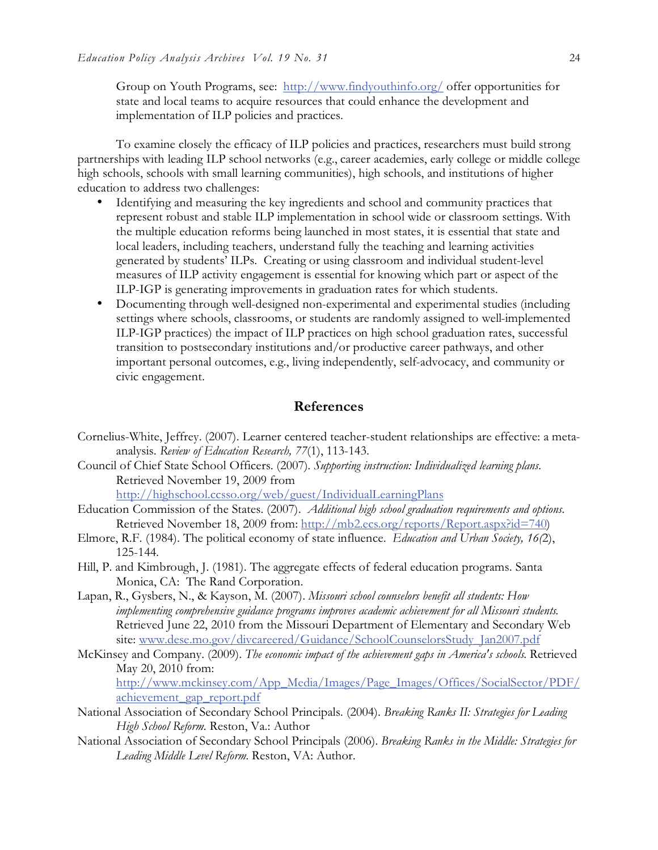Group on Youth Programs, see: http://www.findyouthinfo.org/ offer opportunities for state and local teams to acquire resources that could enhance the development and implementation of ILP policies and practices.

To examine closely the efficacy of ILP policies and practices, researchers must build strong partnerships with leading ILP school networks (e.g., career academies, early college or middle college high schools, schools with small learning communities), high schools, and institutions of higher education to address two challenges:

- Identifying and measuring the key ingredients and school and community practices that represent robust and stable ILP implementation in school wide or classroom settings. With the multiple education reforms being launched in most states, it is essential that state and local leaders, including teachers, understand fully the teaching and learning activities generated by students' ILPs. Creating or using classroom and individual student-level measures of ILP activity engagement is essential for knowing which part or aspect of the ILP-IGP is generating improvements in graduation rates for which students.
- Documenting through well-designed non-experimental and experimental studies (including settings where schools, classrooms, or students are randomly assigned to well-implemented ILP-IGP practices) the impact of ILP practices on high school graduation rates, successful transition to postsecondary institutions and/or productive career pathways, and other important personal outcomes, e.g., living independently, self-advocacy, and community or civic engagement.

## **References**

- Cornelius-White, Jeffrey. (2007). Learner centered teacher-student relationships are effective: a metaanalysis. *Review of Education Research, 77*(1), 113-143.
- Council of Chief State School Officers. (2007). *Supporting instruction: Individualized learning plans.*  Retrieved November 19, 2009 from

http://highschool.ccsso.org/web/guest/IndividualLearningPlans

- Education Commission of the States. (2007). *Additional high school graduation requirements and options.*  Retrieved November 18, 2009 from: http://mb2.ecs.org/reports/Report.aspx?id=740)
- Elmore, R.F. (1984). The political economy of state influence. *Education and Urban Society, 16(*2), 125-144.
- Hill, P. and Kimbrough, J. (1981). The aggregate effects of federal education programs. Santa Monica, CA: The Rand Corporation.
- Lapan, R., Gysbers, N., & Kayson, M. (2007). *Missouri school counselors benefit all students: How implementing comprehensive guidance programs improves academic achievement for all Missouri students*. Retrieved June 22, 2010 from the Missouri Department of Elementary and Secondary Web site: www.dese.mo.gov/divcareered/Guidance/SchoolCounselorsStudy\_Jan2007.pdf
- McKinsey and Company. (2009). *The economic impact of the achievement gaps in America's schools*. Retrieved May 20, 2010 from: http://www.mckinsey.com/App\_Media/Images/Page\_Images/Offices/SocialSector/PDF/ achievement\_gap\_report.pdf
- National Association of Secondary School Principals. (2004). *Breaking Ranks II: Strategies for Leading High School Reform.* Reston, Va.: Author
- National Association of Secondary School Principals (2006). *Breaking Ranks in the Middle: Strategies for Leading Middle Level Reform*. Reston, VA: Author.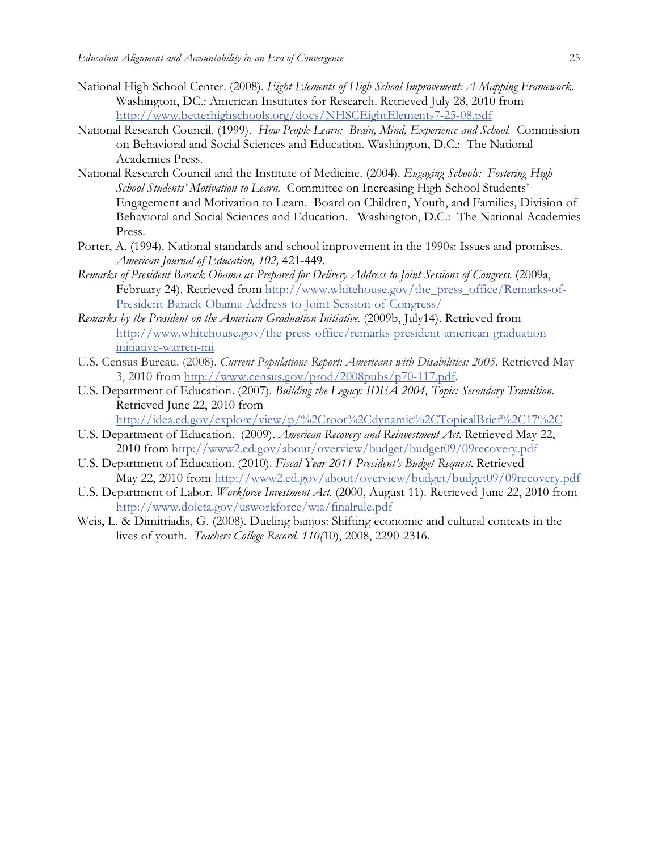- National High School Center. (2008). *Eight Elements of High School Improvement: A Mapping Framework.*  Washington, DC.: American Institutes for Research. Retrieved July 28, 2010 from http://www.betterhighschools.org/docs/NHSCEightElements7-25-08.pdf
- National Research Council. (1999). *How People Learn: Brain, Mind, Experience and School.* Commission on Behavioral and Social Sciences and Education. Washington, D.C.: The National Academies Press.
- National Research Council and the Institute of Medicine. (2004). *Engaging Schools: Fostering High School Students' Motivation to Learn.* Committee on Increasing High School Students' Engagement and Motivation to Learn. Board on Children, Youth, and Families, Division of Behavioral and Social Sciences and Education. Washington, D.C.: The National Academies Press.
- Porter, A. (1994). National standards and school improvement in the 1990s: Issues and promises. *American Journal of Education, 102,* 421-449*.*
- *Remarks of President Barack Obama as Prepared for Delivery Address to Joint Sessions of Congress*. (2009a, February 24). Retrieved from http://www.whitehouse.gov/the\_press\_office/Remarks-of-President-Barack-Obama-Address-to-Joint-Session-of-Congress/
- *Remarks by the President on the American Graduation Initiative.* (2009b, July14). Retrieved from http://www.whitehouse.gov/the-press-office/remarks-president-american-graduationinitiative-warren-mi
- U.S. Census Bureau. (2008). *Current Populations Report: Americans with Disabilities: 2005.* Retrieved May 3, 2010 from http://www.census.gov/prod/2008pubs/p70-117.pdf.
- U.S. Department of Education. (2007). *Building the Legacy: IDEA 2004, Topic: Secondary Transition.* Retrieved June 22, 2010 from

http://idea.ed.gov/explore/view/p/%2Croot%2Cdynamic%2CTopicalBrief%2C17%2C

- U.S. Department of Education. (2009). *American Recovery and Reinvestment Act*. Retrieved May 22, 2010 from http://www2.ed.gov/about/overview/budget/budget09/09recovery.pdf
- U.S. Department of Education. (2010). *Fiscal Year 2011 President's Budget Request*. Retrieved May 22, 2010 from http://www2.ed.gov/about/overview/budget/budget09/09recovery.pdf
- U.S. Department of Labor. *Workforce Investment Act.* (2000, August 11). Retrieved June 22, 2010 from http://www.doleta.gov/usworkforce/wia/finalrule.pdf
- Weis, L. & Dimitriadis, G. (2008). Dueling banjos: Shifting economic and cultural contexts in the lives of youth. *Teachers College Record*. *110(*10), 2008, 2290-2316.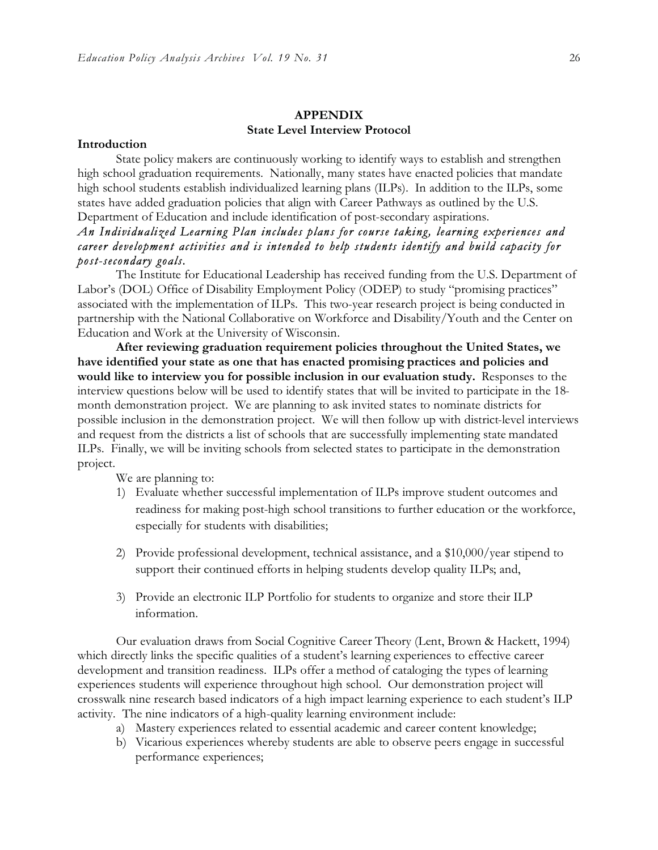#### **APPENDIX State Level Interview Protocol**

#### **Introduction**

State policy makers are continuously working to identify ways to establish and strengthen high school graduation requirements. Nationally, many states have enacted policies that mandate high school students establish individualized learning plans (ILPs). In addition to the ILPs, some states have added graduation policies that align with Career Pathways as outlined by the U.S. Department of Education and include identification of post-secondary aspirations.

## *An Individualized Learning Plan includes plans for course taking, learning experiences and career development activities and is intended to help students identify and build capacity for post-secondary goals.*

The Institute for Educational Leadership has received funding from the U.S. Department of Labor's (DOL) Office of Disability Employment Policy (ODEP) to study "promising practices" associated with the implementation of ILPs. This two-year research project is being conducted in partnership with the National Collaborative on Workforce and Disability/Youth and the Center on Education and Work at the University of Wisconsin.

**After reviewing graduation requirement policies throughout the United States, we have identified your state as one that has enacted promising practices and policies and would like to interview you for possible inclusion in our evaluation study.** Responses to the interview questions below will be used to identify states that will be invited to participate in the 18 month demonstration project. We are planning to ask invited states to nominate districts for possible inclusion in the demonstration project. We will then follow up with district-level interviews and request from the districts a list of schools that are successfully implementing state mandated ILPs. Finally, we will be inviting schools from selected states to participate in the demonstration project.

We are planning to:

- 1) Evaluate whether successful implementation of ILPs improve student outcomes and readiness for making post-high school transitions to further education or the workforce, especially for students with disabilities;
- 2) Provide professional development, technical assistance, and a \$10,000/year stipend to support their continued efforts in helping students develop quality ILPs; and,
- 3) Provide an electronic ILP Portfolio for students to organize and store their ILP information.

Our evaluation draws from Social Cognitive Career Theory (Lent, Brown & Hackett, 1994) which directly links the specific qualities of a student's learning experiences to effective career development and transition readiness. ILPs offer a method of cataloging the types of learning experiences students will experience throughout high school. Our demonstration project will crosswalk nine research based indicators of a high impact learning experience to each student's ILP activity. The nine indicators of a high-quality learning environment include:

- a) Mastery experiences related to essential academic and career content knowledge;
- b) Vicarious experiences whereby students are able to observe peers engage in successful performance experiences;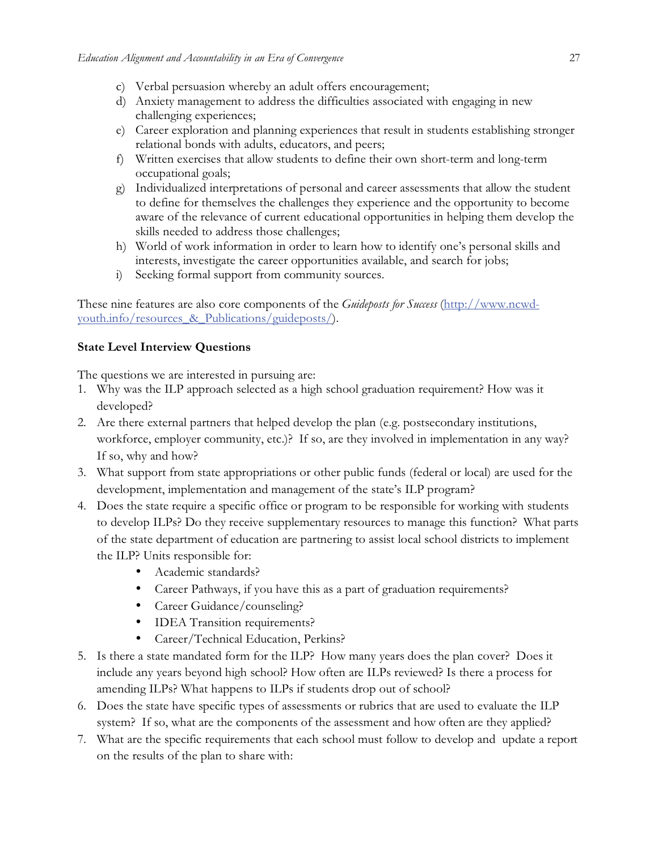- c) Verbal persuasion whereby an adult offers encouragement;
- d) Anxiety management to address the difficulties associated with engaging in new challenging experiences;
- e) Career exploration and planning experiences that result in students establishing stronger relational bonds with adults, educators, and peers;
- f) Written exercises that allow students to define their own short-term and long-term occupational goals;
- g) Individualized interpretations of personal and career assessments that allow the student to define for themselves the challenges they experience and the opportunity to become aware of the relevance of current educational opportunities in helping them develop the skills needed to address those challenges;
- h) World of work information in order to learn how to identify one's personal skills and interests, investigate the career opportunities available, and search for jobs;
- i) Seeking formal support from community sources.

These nine features are also core components of the *Guideposts for Success* (http://www.ncwdyouth.info/resources & Publications/guideposts/).

## **State Level Interview Questions**

The questions we are interested in pursuing are:

- 1. Why was the ILP approach selected as a high school graduation requirement? How was it developed?
- 2. Are there external partners that helped develop the plan (e.g. postsecondary institutions, workforce, employer community, etc.)? If so, are they involved in implementation in any way? If so, why and how?
- 3. What support from state appropriations or other public funds (federal or local) are used for the development, implementation and management of the state's ILP program?
- 4. Does the state require a specific office or program to be responsible for working with students to develop ILPs? Do they receive supplementary resources to manage this function? What parts of the state department of education are partnering to assist local school districts to implement the ILP? Units responsible for:
	- Academic standards?
	- Career Pathways, if you have this as a part of graduation requirements?
	- Career Guidance/counseling?
	- **IDEA Transition requirements?**
	- Career/Technical Education, Perkins?
- 5. Is there a state mandated form for the ILP? How many years does the plan cover? Does it include any years beyond high school? How often are ILPs reviewed? Is there a process for amending ILPs? What happens to ILPs if students drop out of school?
- 6. Does the state have specific types of assessments or rubrics that are used to evaluate the ILP system? If so, what are the components of the assessment and how often are they applied?
- 7. What are the specific requirements that each school must follow to develop and update a report on the results of the plan to share with: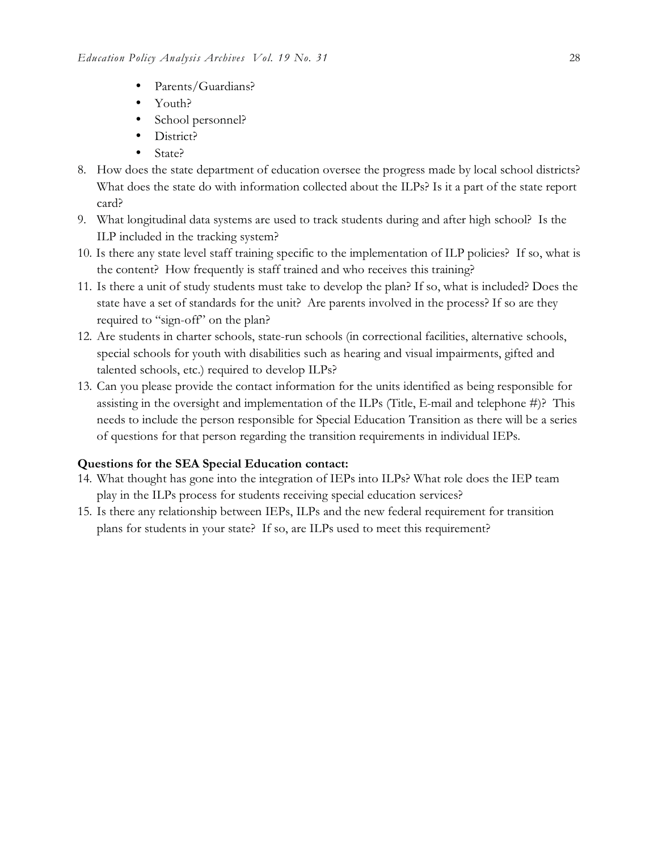- Parents/Guardians?
- Youth?
- School personnel?
- District?
- State?
- 8. How does the state department of education oversee the progress made by local school districts? What does the state do with information collected about the ILPs? Is it a part of the state report card?
- 9. What longitudinal data systems are used to track students during and after high school? Is the ILP included in the tracking system?
- 10. Is there any state level staff training specific to the implementation of ILP policies? If so, what is the content? How frequently is staff trained and who receives this training?
- 11. Is there a unit of study students must take to develop the plan? If so, what is included? Does the state have a set of standards for the unit? Are parents involved in the process? If so are they required to "sign-off" on the plan?
- 12. Are students in charter schools, state-run schools (in correctional facilities, alternative schools, special schools for youth with disabilities such as hearing and visual impairments, gifted and talented schools, etc.) required to develop ILPs?
- 13. Can you please provide the contact information for the units identified as being responsible for assisting in the oversight and implementation of the ILPs (Title, E-mail and telephone  $\#$ )? This needs to include the person responsible for Special Education Transition as there will be a series of questions for that person regarding the transition requirements in individual IEPs.

## **Questions for the SEA Special Education contact:**

- 14. What thought has gone into the integration of IEPs into ILPs? What role does the IEP team play in the ILPs process for students receiving special education services?
- 15. Is there any relationship between IEPs, ILPs and the new federal requirement for transition plans for students in your state? If so, are ILPs used to meet this requirement?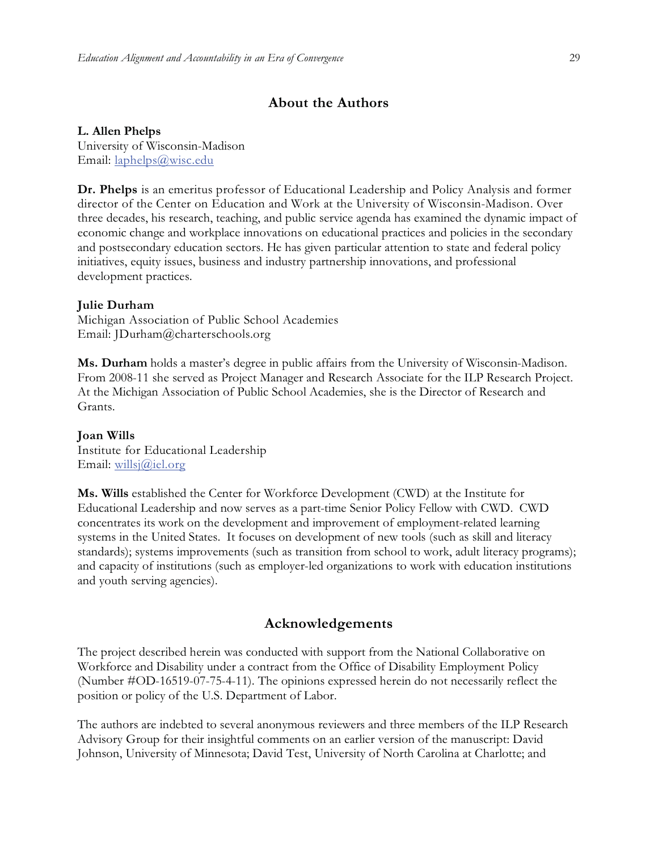## **About the Authors**

#### **L. Allen Phelps**

University of Wisconsin-Madison Email: laphelps@wisc.edu

**Dr. Phelps** is an emeritus professor of Educational Leadership and Policy Analysis and former director of the Center on Education and Work at the University of Wisconsin-Madison. Over three decades, his research, teaching, and public service agenda has examined the dynamic impact of economic change and workplace innovations on educational practices and policies in the secondary and postsecondary education sectors. He has given particular attention to state and federal policy initiatives, equity issues, business and industry partnership innovations, and professional development practices.

#### **Julie Durham**

Michigan Association of Public School Academies Email: JDurham@charterschools.org

**Ms. Durham** holds a master's degree in public affairs from the University of Wisconsin-Madison. From 2008-11 she served as Project Manager and Research Associate for the ILP Research Project. At the Michigan Association of Public School Academies, she is the Director of Research and Grants.

#### **Joan Wills**

Institute for Educational Leadership Email: willsj@iel.org

**Ms. Wills** established the Center for Workforce Development (CWD) at the Institute for Educational Leadership and now serves as a part-time Senior Policy Fellow with CWD. CWD concentrates its work on the development and improvement of employment-related learning systems in the United States. It focuses on development of new tools (such as skill and literacy standards); systems improvements (such as transition from school to work, adult literacy programs); and capacity of institutions (such as employer-led organizations to work with education institutions and youth serving agencies).

### **Acknowledgements**

The project described herein was conducted with support from the National Collaborative on Workforce and Disability under a contract from the Office of Disability Employment Policy (Number #OD-16519-07-75-4-11). The opinions expressed herein do not necessarily reflect the position or policy of the U.S. Department of Labor.

The authors are indebted to several anonymous reviewers and three members of the ILP Research Advisory Group for their insightful comments on an earlier version of the manuscript: David Johnson, University of Minnesota; David Test, University of North Carolina at Charlotte; and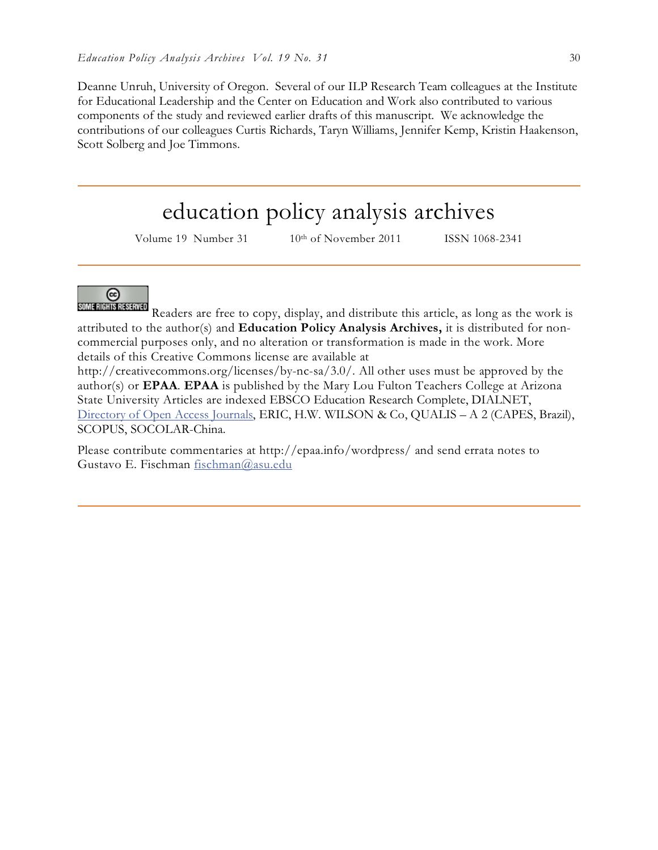Deanne Unruh, University of Oregon. Several of our ILP Research Team colleagues at the Institute for Educational Leadership and the Center on Education and Work also contributed to various components of the study and reviewed earlier drafts of this manuscript. We acknowledge the contributions of our colleagues Curtis Richards, Taryn Williams, Jennifer Kemp, Kristin Haakenson, Scott Solberg and Joe Timmons.

## education policy analysis archives

Volume 19 Number 31 10<sup>th</sup> of November 2011 ISSN 1068-2341



SOMERIGHTS RESERVED Readers are free to copy, display, and distribute this article, as long as the work is attributed to the author(s) and **Education Policy Analysis Archives,** it is distributed for noncommercial purposes only, and no alteration or transformation is made in the work. More details of this Creative Commons license are available at

http://creativecommons.org/licenses/by-nc-sa/3.0/. All other uses must be approved by the author(s) or **EPAA**. **EPAA** is published by the Mary Lou Fulton Teachers College at Arizona State University Articles are indexed EBSCO Education Research Complete, DIALNET, Directory of Open Access Journals, ERIC, H.W. WILSON & Co, QUALIS – A 2 (CAPES, Brazil), SCOPUS, SOCOLAR-China.

Please contribute commentaries at http://epaa.info/wordpress/ and send errata notes to Gustavo E. Fischman fischman@asu.edu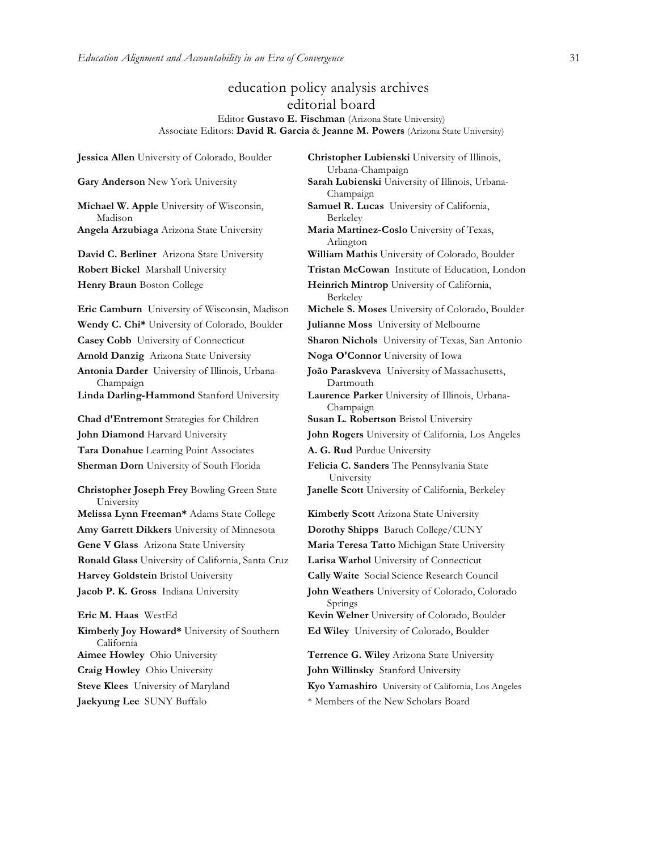## education policy analysis archives editorial board

#### Editor **Gustavo E. Fischman** (Arizona State University) Associate Editors: **David R. Garcia** & **Jeanne M. Powers** (Arizona State University)

**Jessica Allen** University of Colorado, Boulder **Christopher Lubienski** University of Illinois, Urbana-Champaign **Gary Anderson** New York University **Sarah Lubienski** University of Illinois, Urbana-Champaign **Michael W. Apple** University of Wisconsin, Madison Berkeley **Angela Arzubiaga** Arizona State University **Maria Martinez-Coslo** University of Texas, Arlington **David C. Berliner** Arizona State University **William Mathis** University of Colorado, Boulder **Robert Bickel** Marshall University **Tristan McCowan** Institute of Education, London **Henry Braun** Boston College **Heinrich Mintrop** University of California, Berkeley **Eric Camburn** University of Wisconsin, Madison **Michele S. Moses** University of Colorado, Boulder **Wendy C. Chi\*** University of Colorado, Boulder **Julianne Moss** University of Melbourne **Casey Cobb** University of Connecticut **Sharon Nichols** University of Texas, San Antonio **Arnold Danzig** Arizona State University **Noga O'Connor** University of Iowa **Antonia Darder** University of Illinois, Urbana-Champaign Dartmouth **Linda Darling-Hammond** Stanford University **Laurence Parker** University of Illinois, Urbana-Champaign **Chad d'Entremont** Strategies for Children **Susan L. Robertson** Bristol University **John Diamond** Harvard University **John Rogers** University of California, Los Angeles **Tara Donahue** Learning Point Associates **A. G. Rud** Purdue University **Sherman Dorn** University of South Florida **Felicia C. Sanders** The Pennsylvania State University **Christopher Joseph Frey** Bowling Green State University **Melissa Lynn Freeman\*** Adams State College **Kimberly Scott** Arizona State University **Amy Garrett Dikkers** University of Minnesota **Dorothy Shipps** Baruch College/CUNY **Gene V Glass** Arizona State University **Maria Teresa Tatto** Michigan State University **Ronald Glass** University of California, Santa Cruz **Larisa Warhol** University of Connecticut **Harvey Goldstein** Bristol University **Cally Waite** Social Science Research Council **Jacob P. K. Gross** Indiana University **John Weathers** University of Colorado, Colorado Springs **Eric M. Haas** WestEd **Kevin Welner** University of Colorado, Boulder **Kimberly Joy Howard\*** University of Southern California **Aimee Howley** Ohio University **Terrence G. Wiley** Arizona State University **Craig Howley** Ohio University **John Willinsky** Stanford University **Steve Klees** University of Maryland **Kyo Yamashiro** University of California, Los Angeles

**Samuel R. Lucas** University of California,

**João Paraskveva** University of Massachusetts,

**Janelle Scott** University of California, Berkeley

**Ed Wiley** University of Colorado, Boulder

**Jaekyung Lee** SUNY Buffalo \* \* Members of the New Scholars Board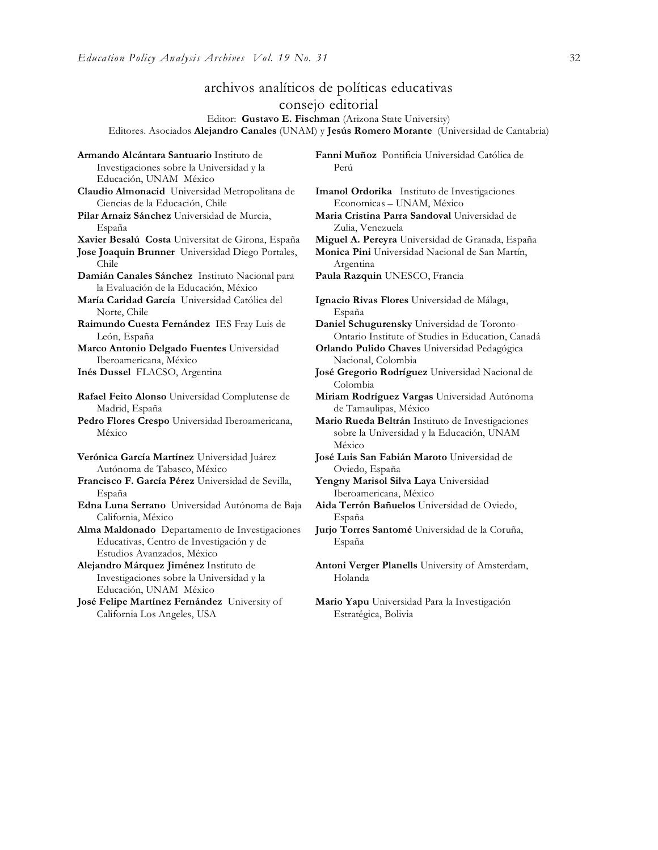**Armando Alcántara Santuario** Instituto de

## archivos analíticos de políticas educativas consejo editorial

Editor: **Gustavo E. Fischman** (Arizona State University) Editores. Asociados **Alejandro Canales** (UNAM) y **Jesús Romero Morante** (Universidad de Cantabria)

Investigaciones sobre la Universidad y la Educación, UNAM México **Claudio Almonacid** Universidad Metropolitana de Ciencias de la Educación, Chile **Pilar Arnaiz Sánchez** Universidad de Murcia, España **Xavier Besalú Costa** Universitat de Girona, España **Miguel A. Pereyra** Universidad de Granada, España **Jose Joaquin Brunner** Universidad Diego Portales, Chile **Damián Canales Sánchez** Instituto Nacional para la Evaluación de la Educación, México **María Caridad García** Universidad Católica del Norte, Chile **Raimundo Cuesta Fernández** IES Fray Luis de León, España **Marco Antonio Delgado Fuentes** Universidad Iberoamericana, México **Inés Dussel** FLACSO, Argentina **José Gregorio Rodríguez** Universidad Nacional de **Rafael Feito Alonso** Universidad Complutense de Madrid, España **Pedro Flores Crespo** Universidad Iberoamericana, México **Verónica García Martínez** Universidad Juárez Autónoma de Tabasco, México **Francisco F. García Pérez** Universidad de Sevilla, España **Edna Luna Serrano** Universidad Autónoma de Baja California, México **Alma Maldonado** Departamento de Investigaciones Educativas, Centro de Investigación y de Estudios Avanzados, México **Alejandro Márquez Jiménez** Instituto de Investigaciones sobre la Universidad y la Educación, UNAM México **José Felipe Martínez Fernández** University of California Los Angeles, USA

**Fanni Muñoz** Pontificia Universidad Católica de Perú

**Imanol Ordorika** Instituto de Investigaciones Economicas – UNAM, México

**Maria Cristina Parra Sandoval** Universidad de Zulia, Venezuela

**Monica Pini** Universidad Nacional de San Martín, Argentina

**Paula Razquin** UNESCO, Francia

**Ignacio Rivas Flores** Universidad de Málaga, España

**Daniel Schugurensky** Universidad de Toronto-Ontario Institute of Studies in Education, Canadá

**Orlando Pulido Chaves** Universidad Pedagógica Nacional, Colombia

Colombia

**Miriam Rodríguez Vargas** Universidad Autónoma de Tamaulipas, México

**Mario Rueda Beltrán** Instituto de Investigaciones sobre la Universidad y la Educación, UNAM México

**José Luis San Fabián Maroto** Universidad de Oviedo, España

**Yengny Marisol Silva Laya** Universidad Iberoamericana, México

**Aida Terrón Bañuelos** Universidad de Oviedo, España

**Jurjo Torres Santomé** Universidad de la Coruña, España

**Antoni Verger Planells** University of Amsterdam, Holanda

**Mario Yapu** Universidad Para la Investigación Estratégica, Bolivia